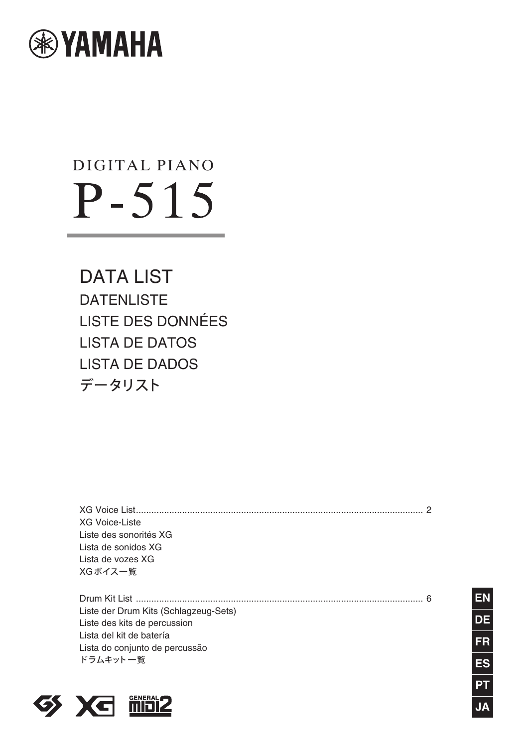

## DIGITAL PIANO  $P - 515$

DATA LIST **DATENLISTE** LISTE DES DONNÉES LISTA DE DATOS LISTA DE DADOS データリスト

[XG Voice List................................................................................................................ 2](#page-1-0) XG Voice-Liste Liste des sonorités XG Lista de sonidos XG Lista de vozes XG XGボイス一覧

[Drum Kit List ................................................................................................................ 6](#page-5-0) Liste der Drum Kits (Schlagzeug-Sets) Liste des kits de percussion Lista del kit de batería Lista do conjunto de percussão ドラムキット一覧



**JA ES PT FR DE EN**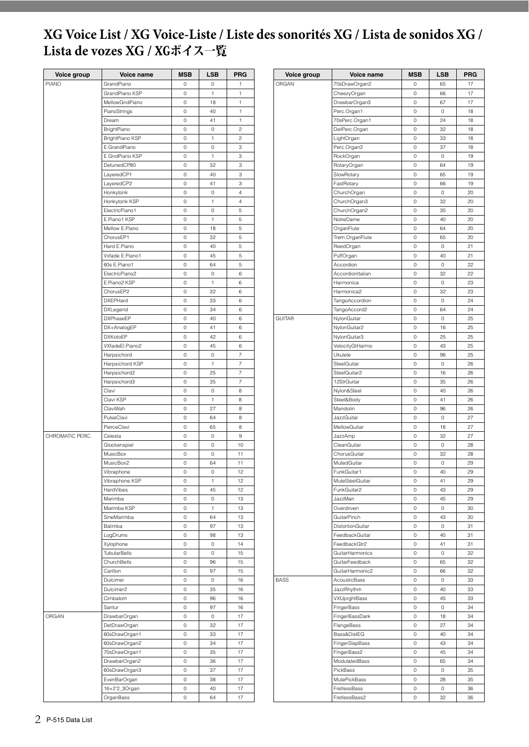## <span id="page-1-0"></span>**XG Voice List / XG Voice-Liste / Liste des sonorités XG / Lista de sonidos XG / Lista de vozes XG /** XGボイス一覧

| Voice group | Voice name                                                                                                                                                                                                                                                                                                                                                                                                                                                                                                                                                                                                                                                                                                                                                                                                | <b>MSB</b>          | <b>LSB</b>   | <b>PRG</b>     |
|-------------|-----------------------------------------------------------------------------------------------------------------------------------------------------------------------------------------------------------------------------------------------------------------------------------------------------------------------------------------------------------------------------------------------------------------------------------------------------------------------------------------------------------------------------------------------------------------------------------------------------------------------------------------------------------------------------------------------------------------------------------------------------------------------------------------------------------|---------------------|--------------|----------------|
| PIANO       | GrandPiano                                                                                                                                                                                                                                                                                                                                                                                                                                                                                                                                                                                                                                                                                                                                                                                                | 0                   | 0            | 1              |
|             | GrandPiano KSP                                                                                                                                                                                                                                                                                                                                                                                                                                                                                                                                                                                                                                                                                                                                                                                            | $\circ$             | 1            | 1              |
|             | MellowGndPiano                                                                                                                                                                                                                                                                                                                                                                                                                                                                                                                                                                                                                                                                                                                                                                                            | $\circ$             | 18           | 1              |
|             | PianoStrings                                                                                                                                                                                                                                                                                                                                                                                                                                                                                                                                                                                                                                                                                                                                                                                              | 0                   | 40           | 1              |
|             | Dream                                                                                                                                                                                                                                                                                                                                                                                                                                                                                                                                                                                                                                                                                                                                                                                                     | 0                   | 41           | 1              |
|             | BrightPiano                                                                                                                                                                                                                                                                                                                                                                                                                                                                                                                                                                                                                                                                                                                                                                                               | 0                   | 0            | $\overline{c}$ |
|             | <b>BrightPiano KSP</b>                                                                                                                                                                                                                                                                                                                                                                                                                                                                                                                                                                                                                                                                                                                                                                                    | 0                   | 1            | $\overline{c}$ |
|             | E.GrandPiano                                                                                                                                                                                                                                                                                                                                                                                                                                                                                                                                                                                                                                                                                                                                                                                              | 0                   | 0            | 3              |
|             | E.GndPiano KSP                                                                                                                                                                                                                                                                                                                                                                                                                                                                                                                                                                                                                                                                                                                                                                                            | 0                   | 1            | 3              |
|             | DetunedCP80                                                                                                                                                                                                                                                                                                                                                                                                                                                                                                                                                                                                                                                                                                                                                                                               | $\circ$             | 32           | 3              |
|             | LayeredCP1                                                                                                                                                                                                                                                                                                                                                                                                                                                                                                                                                                                                                                                                                                                                                                                                | $\circ$             | 40           | 3              |
|             | LayeredCP2                                                                                                                                                                                                                                                                                                                                                                                                                                                                                                                                                                                                                                                                                                                                                                                                | $\mathsf{O}\xspace$ | 41           | 3              |
|             |                                                                                                                                                                                                                                                                                                                                                                                                                                                                                                                                                                                                                                                                                                                                                                                                           |                     |              |                |
|             | Honkytonk                                                                                                                                                                                                                                                                                                                                                                                                                                                                                                                                                                                                                                                                                                                                                                                                 | 0                   | 0            | $\overline{4}$ |
|             | Honkytonk KSP                                                                                                                                                                                                                                                                                                                                                                                                                                                                                                                                                                                                                                                                                                                                                                                             | 0                   | 1            | $\sqrt{4}$     |
|             | ElectricPiano1                                                                                                                                                                                                                                                                                                                                                                                                                                                                                                                                                                                                                                                                                                                                                                                            | 0                   | 0            | 5              |
|             | E.Piano1 KSP                                                                                                                                                                                                                                                                                                                                                                                                                                                                                                                                                                                                                                                                                                                                                                                              | 0                   | 1            | 5              |
|             | Mellow E.Piano                                                                                                                                                                                                                                                                                                                                                                                                                                                                                                                                                                                                                                                                                                                                                                                            | $\circ$             | 18           | 5              |
|             | ChorusEP1                                                                                                                                                                                                                                                                                                                                                                                                                                                                                                                                                                                                                                                                                                                                                                                                 | $\mathsf{O}\xspace$ | 32           | 5              |
|             | Hard E.Piano                                                                                                                                                                                                                                                                                                                                                                                                                                                                                                                                                                                                                                                                                                                                                                                              | 0                   | 40           | 5              |
|             | Vxfade E.Piano1                                                                                                                                                                                                                                                                                                                                                                                                                                                                                                                                                                                                                                                                                                                                                                                           | 0                   | 45           | 5              |
|             | 60s E.Piano1                                                                                                                                                                                                                                                                                                                                                                                                                                                                                                                                                                                                                                                                                                                                                                                              | 0                   | 64           | 5              |
|             | ElectricPiano2                                                                                                                                                                                                                                                                                                                                                                                                                                                                                                                                                                                                                                                                                                                                                                                            | 0                   | 0            | 6              |
|             | E.Piano2 KSP                                                                                                                                                                                                                                                                                                                                                                                                                                                                                                                                                                                                                                                                                                                                                                                              | 0                   | 1            | 6              |
|             | ChorusEP2                                                                                                                                                                                                                                                                                                                                                                                                                                                                                                                                                                                                                                                                                                                                                                                                 | 0                   | 32           | 6              |
|             | <b>DXEPHard</b>                                                                                                                                                                                                                                                                                                                                                                                                                                                                                                                                                                                                                                                                                                                                                                                           | $\circ$             | 33           | 6              |
|             | DXLegend                                                                                                                                                                                                                                                                                                                                                                                                                                                                                                                                                                                                                                                                                                                                                                                                  | $\circ$             | 34           | 6              |
|             |                                                                                                                                                                                                                                                                                                                                                                                                                                                                                                                                                                                                                                                                                                                                                                                                           |                     |              |                |
|             | <b>DXPhaseEP</b>                                                                                                                                                                                                                                                                                                                                                                                                                                                                                                                                                                                                                                                                                                                                                                                          | $\mathsf{O}\xspace$ | 40           | 6              |
|             |                                                                                                                                                                                                                                                                                                                                                                                                                                                                                                                                                                                                                                                                                                                                                                                                           |                     |              |                |
|             |                                                                                                                                                                                                                                                                                                                                                                                                                                                                                                                                                                                                                                                                                                                                                                                                           |                     |              |                |
|             |                                                                                                                                                                                                                                                                                                                                                                                                                                                                                                                                                                                                                                                                                                                                                                                                           | 0                   | 45           | 6              |
|             | Harpsichord                                                                                                                                                                                                                                                                                                                                                                                                                                                                                                                                                                                                                                                                                                                                                                                               | 0                   | 0            | 7              |
|             | Harpsichord KSP                                                                                                                                                                                                                                                                                                                                                                                                                                                                                                                                                                                                                                                                                                                                                                                           | 0                   | $\mathbf{1}$ | 7              |
|             | Harpsichord2                                                                                                                                                                                                                                                                                                                                                                                                                                                                                                                                                                                                                                                                                                                                                                                              | $\Omega$            | 25           | $\overline{7}$ |
|             | Harpsichord3                                                                                                                                                                                                                                                                                                                                                                                                                                                                                                                                                                                                                                                                                                                                                                                              | $\mathbb O$         | 35           | $\overline{7}$ |
|             | Clavi                                                                                                                                                                                                                                                                                                                                                                                                                                                                                                                                                                                                                                                                                                                                                                                                     | 0                   | 0            | 8              |
|             | Clavi KSP                                                                                                                                                                                                                                                                                                                                                                                                                                                                                                                                                                                                                                                                                                                                                                                                 | 0                   | 1            | 8              |
|             |                                                                                                                                                                                                                                                                                                                                                                                                                                                                                                                                                                                                                                                                                                                                                                                                           |                     |              |                |
|             |                                                                                                                                                                                                                                                                                                                                                                                                                                                                                                                                                                                                                                                                                                                                                                                                           |                     |              |                |
|             |                                                                                                                                                                                                                                                                                                                                                                                                                                                                                                                                                                                                                                                                                                                                                                                                           |                     |              |                |
|             |                                                                                                                                                                                                                                                                                                                                                                                                                                                                                                                                                                                                                                                                                                                                                                                                           |                     |              |                |
|             |                                                                                                                                                                                                                                                                                                                                                                                                                                                                                                                                                                                                                                                                                                                                                                                                           |                     |              |                |
|             |                                                                                                                                                                                                                                                                                                                                                                                                                                                                                                                                                                                                                                                                                                                                                                                                           |                     |              |                |
|             |                                                                                                                                                                                                                                                                                                                                                                                                                                                                                                                                                                                                                                                                                                                                                                                                           |                     |              |                |
|             |                                                                                                                                                                                                                                                                                                                                                                                                                                                                                                                                                                                                                                                                                                                                                                                                           |                     |              |                |
|             |                                                                                                                                                                                                                                                                                                                                                                                                                                                                                                                                                                                                                                                                                                                                                                                                           |                     |              |                |
|             | Vibraphone KSP                                                                                                                                                                                                                                                                                                                                                                                                                                                                                                                                                                                                                                                                                                                                                                                            | 0                   | 1            | 12             |
|             | HardVibes                                                                                                                                                                                                                                                                                                                                                                                                                                                                                                                                                                                                                                                                                                                                                                                                 | 0                   | 45           | 12             |
|             | Marimba                                                                                                                                                                                                                                                                                                                                                                                                                                                                                                                                                                                                                                                                                                                                                                                                   | 0                   | 0            | 13             |
|             | Marimba KSP                                                                                                                                                                                                                                                                                                                                                                                                                                                                                                                                                                                                                                                                                                                                                                                               | $\Omega$            | 1            | 13             |
|             | SineMarimba                                                                                                                                                                                                                                                                                                                                                                                                                                                                                                                                                                                                                                                                                                                                                                                               | 0                   | 64           | 13             |
|             | Balimba                                                                                                                                                                                                                                                                                                                                                                                                                                                                                                                                                                                                                                                                                                                                                                                                   | 0                   | 97           | 13             |
|             |                                                                                                                                                                                                                                                                                                                                                                                                                                                                                                                                                                                                                                                                                                                                                                                                           | 0                   | 98           | 13             |
|             |                                                                                                                                                                                                                                                                                                                                                                                                                                                                                                                                                                                                                                                                                                                                                                                                           |                     |              |                |
|             |                                                                                                                                                                                                                                                                                                                                                                                                                                                                                                                                                                                                                                                                                                                                                                                                           |                     |              |                |
|             |                                                                                                                                                                                                                                                                                                                                                                                                                                                                                                                                                                                                                                                                                                                                                                                                           |                     |              |                |
|             |                                                                                                                                                                                                                                                                                                                                                                                                                                                                                                                                                                                                                                                                                                                                                                                                           |                     |              |                |
|             |                                                                                                                                                                                                                                                                                                                                                                                                                                                                                                                                                                                                                                                                                                                                                                                                           |                     |              |                |
|             |                                                                                                                                                                                                                                                                                                                                                                                                                                                                                                                                                                                                                                                                                                                                                                                                           |                     |              |                |
|             |                                                                                                                                                                                                                                                                                                                                                                                                                                                                                                                                                                                                                                                                                                                                                                                                           |                     |              |                |
|             |                                                                                                                                                                                                                                                                                                                                                                                                                                                                                                                                                                                                                                                                                                                                                                                                           | 0                   | 96           | 16             |
|             | Santur                                                                                                                                                                                                                                                                                                                                                                                                                                                                                                                                                                                                                                                                                                                                                                                                    | 0                   | 97           | 16             |
| ORGAN       | DrawbarOrgan                                                                                                                                                                                                                                                                                                                                                                                                                                                                                                                                                                                                                                                                                                                                                                                              | 0                   | $\circ$      | 17             |
|             | DetDrawOrgan                                                                                                                                                                                                                                                                                                                                                                                                                                                                                                                                                                                                                                                                                                                                                                                              | 0                   | 32           | 17             |
|             | 60sDrawOrgan1                                                                                                                                                                                                                                                                                                                                                                                                                                                                                                                                                                                                                                                                                                                                                                                             | 0                   | 33           | 17             |
|             | 60sDrawOrgan2                                                                                                                                                                                                                                                                                                                                                                                                                                                                                                                                                                                                                                                                                                                                                                                             | $\mathbb O$         | 34           | 17             |
|             |                                                                                                                                                                                                                                                                                                                                                                                                                                                                                                                                                                                                                                                                                                                                                                                                           | $\mathbb O$         | 35           | 17             |
|             |                                                                                                                                                                                                                                                                                                                                                                                                                                                                                                                                                                                                                                                                                                                                                                                                           | 0                   | 36           | 17             |
|             |                                                                                                                                                                                                                                                                                                                                                                                                                                                                                                                                                                                                                                                                                                                                                                                                           |                     |              |                |
|             |                                                                                                                                                                                                                                                                                                                                                                                                                                                                                                                                                                                                                                                                                                                                                                                                           |                     |              |                |
|             |                                                                                                                                                                                                                                                                                                                                                                                                                                                                                                                                                                                                                                                                                                                                                                                                           |                     |              |                |
|             | DX+AnalogEP<br>41<br>6<br>0<br><b>DXKotoEP</b><br>0<br>42<br>6<br>VXfadeEl.Piano2<br>ClaviWah<br>27<br>0<br>8<br>PulseClavi<br>0<br>64<br>8<br>PierceClavi<br>8<br>0<br>65<br>CHROMATIC PERC.<br>Celesta<br>$\circ$<br>0<br>9<br>Glockenspiel<br>$\mathbb O$<br>0<br>10<br>MusicBox<br>$\mathbb O$<br>$\mathbb O$<br>11<br>MusicBox2<br>64<br>11<br>0<br>Vibraphone<br>0<br>0<br>12<br>LogDrums<br>Xylophone<br>0<br>14<br>0<br><b>TubularBells</b><br>15<br>0<br>0<br>ChurchBells<br>15<br>96<br>0<br>15<br>Carillon<br>$\mathbb O$<br>97<br>Dulcimer<br>$\mathbb O$<br>0<br>16<br>Dulcimer2<br>$\mathbb O$<br>35<br>16<br>Cimbalom<br>70sDrawOrgan1<br>DrawbarOrgan2<br>60sDrawOrgan3<br>0<br>37<br>17<br>17<br>EvenBarOrgan<br>38<br>0<br>16+2'2_3Organ<br>40<br>17<br>0<br>OrganBass<br>64<br>17<br>0 |                     |              |                |
|             |                                                                                                                                                                                                                                                                                                                                                                                                                                                                                                                                                                                                                                                                                                                                                                                                           |                     |              |                |

| Voice group   | Voice name                     | <b>MSB</b> | LSB      | PRG      |
|---------------|--------------------------------|------------|----------|----------|
| ORGAN         | 70sDrawOrgan2                  | 0          | 65       | 17       |
|               | CheezyOrgan                    | 0          | 66       | 17       |
|               | DrawbarOrgan3                  | 0          | 67       | 17       |
|               | Perc.Organ1                    | 0          | 0        | 18       |
|               | 70sPerc.Organ1                 | 0          | 24       | 18       |
|               | DetPerc.Organ                  | 0          | 32       | 18       |
|               | LightOrgan                     | 0          | 33       | 18       |
|               | Perc.Organ2                    | 0          | 37       | 18       |
|               | RockOrgan                      | 0          | 0        | 19       |
|               | RotaryOrgan                    | 0          | 64       | 19       |
|               | SlowRotary                     | 0          | 65       | 19       |
|               | FastRotary                     | 0          | 66       | 19       |
|               | ChurchOrgan                    | 0          | 0        | 20       |
|               | ChurchOrgan3                   | 0          | 32       | 20       |
|               | ChurchOrgan2                   | 0<br>0     | 35<br>40 | 20<br>20 |
|               | NotreDame<br>OrganFlute        | 0          | 64       | 20       |
|               | Trem.OrganFlute                | 0          | 65       | 20       |
|               | ReedOrgan                      | 0          | 0        | 21       |
|               | PuffOrgan                      | 0          | 40       | 21       |
|               | Accordion                      | 0          | 0        | 22       |
|               | AccordionItalian               | 0          | 32       | 22       |
|               | Harmonica                      | 0          | 0        | 23       |
|               | Harmonica2                     | 0          | 32       | 23       |
|               | TangoAccordion                 | 0          | 0        | 24       |
|               | TangoAccord2                   | 0          | 64       | 24       |
| <b>GUITAR</b> | NylonGuitar                    | 0          | 0        | 25       |
|               | NylonGuitar2                   | 0          | 16       | 25       |
|               | NylonGuitar3                   | 0          | 25       | 25       |
|               | VelocityGtHarmo                | 0          | 43       | 25       |
|               | Ukulele                        | 0          | 96       | 25       |
|               | SteelGuitar                    | 0          | 0        | 26       |
|               | SteelGuitar2                   | 0          | 16       | 26       |
|               | 12StrGuitar                    | 0          | 35       | 26       |
|               | Nylon&Steel                    | 0          | 40       | 26       |
|               | Steel&Body                     | 0          | 41       | 26       |
|               | Mandolin                       | 0          | 96       | 26       |
|               | <b>JazzGuitar</b>              | 0          | 0        | 27       |
|               | MellowGuitar                   | 0          | 18       | 27       |
|               | JazzAmp                        | 0          | 32       | 27       |
|               | CleanGuitar                    | 0          | 0        | 28       |
|               | ChorusGuitar                   | 0          | 32       | 28       |
|               | MutedGuitar                    | 0          | 0        | 29       |
|               | FunkGuitar1                    | 0          | 40       | 29       |
|               | MuteSteelGuitar<br>FunkGuitar2 | 0<br>0     | 41<br>43 | 29<br>29 |
|               | JazzMan                        | 0          | 45       |          |
|               | Overdriven                     | 0          | 0        | 29<br>30 |
|               | GuitarPinch                    | 0          | 43       | 30       |
|               | DistortionGuitar               | 0          | 0        | 31       |
|               | FeedbackGuitar                 | 0          | 40       | 31       |
|               | FeedbackGtr2                   | 0          | 41       | 31       |
|               | GuitarHarmonics                | 0          | 0        | 32       |
|               | GuitarFeedback                 | 0          | 65       | 32       |
|               | GuitarHarmonic2                | 0          | 66       | 32       |
| <b>BASS</b>   | AcousticBass                   | 0          | 0        | 33       |
|               | JazzRhythm                     | 0          | 40       | 33       |
|               | VXUprghtBass                   | 0          | 45       | 33       |
|               | FingerBass                     | 0          | 0        | 34       |
|               | FingerBassDark                 | 0          | 18       | 34       |
|               | FlangeBass                     | 0          | 27       | 34       |
|               | Bass&DistEG                    | 0          | 40       | 34       |
|               | FingerSlapBass                 | 0          | 43       | 34       |
|               | FingerBass2                    | 0          | 45       | 34       |
|               | ModulatedBass                  | 0          | 65       | 34       |
|               | PickBass                       | 0          | 0        | 35       |
|               | MutePickBass                   | 0          | 28       | 35       |
|               | FretlessBass                   | 0          | 0        | 36       |
|               | FretlessBass2                  | 0          | 32       | 36       |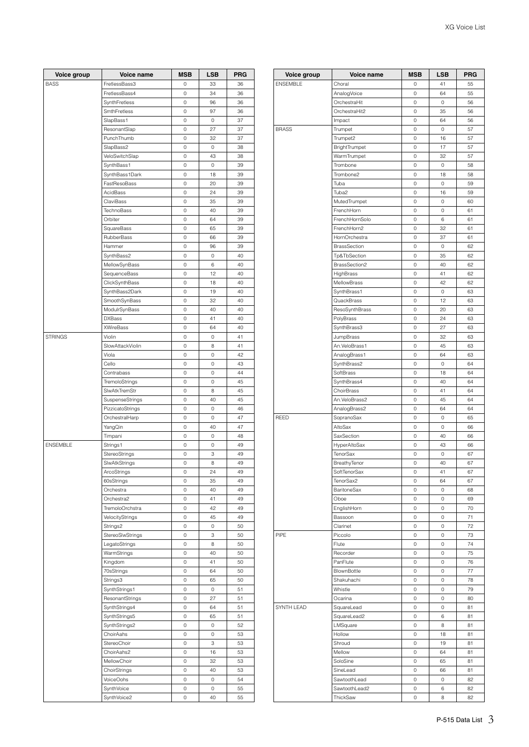| Voice group     | Voice name       | <b>MSB</b> | LSB         | <b>PRG</b> |
|-----------------|------------------|------------|-------------|------------|
| <b>BASS</b>     | FretlessBass3    | 0          | 33          | 36         |
|                 | FretlessBass4    | 0          | 34          | 36         |
|                 | SynthFretless    | 0          | 96          | 36         |
|                 | SmthFretless     | 0          | 97          | 36         |
|                 | SlapBass1        | 0          | $\mathbb O$ | 37         |
|                 |                  | 0          | 27          | 37         |
|                 | ResonantSlap     |            |             |            |
|                 | PunchThumb       | 0          | 32          | 37         |
|                 | SlapBass2        | 0          | 0           | 38         |
|                 | VeloSwitchSlap   | 0          | 43          | 38         |
|                 | SynthBass1       | 0          | 0           | 39         |
|                 | SynthBass1Dark   | 0          | 18          | 39         |
|                 | FastResoBass     | 0          | 20          | 39         |
|                 | AcidBass         | 0          | 24          | 39         |
|                 | ClaviBass        | 0          | 35          | 39         |
|                 | TechnoBass       | 0          | 40          | 39         |
|                 | Orbiter          | 0          | 64          | 39         |
|                 | SquareBass       | 0          | 65          | 39         |
|                 | RubberBass       | 0          | 66          | 39         |
|                 | Hammer           | 0          | 96          | 39         |
|                 |                  |            |             | 40         |
|                 | SynthBass2       | 0          | $\mathbb O$ |            |
|                 | MellowSynBass    | 0          | 6           | 40         |
|                 | SequenceBass     | 0          | 12          | 40         |
|                 | ClickSynthBass   | 0          | 18          | 40         |
|                 | SynthBass2Dark   | 0          | 19          | 40         |
|                 | SmoothSynBass    | 0          | 32          | 40         |
|                 | ModulrSynBass    | 0          | 40          | 40         |
|                 | <b>DXBass</b>    | 0          | 41          | 40         |
|                 | <b>XWireBass</b> | 0          | 64          | 40         |
| <b>STRINGS</b>  | Violin           | 0          | 0           | 41         |
|                 | SlowAttackViolin | 0          | 8           | 41         |
|                 | Viola            | 0          | 0           | 42         |
|                 |                  |            |             | 43         |
|                 | Cello            | 0          | 0           |            |
|                 | Contrabass       | 0          | 0           | 44         |
|                 | TremoloStrings   | 0          | 0           | 45         |
|                 | SlwAtkTremStr    | 0          | 8           | 45         |
|                 | SuspenseStrings  | 0          | 40          | 45         |
|                 | PizzicatoStrings | 0          | 0           | 46         |
|                 | OrchestralHarp   | 0          | 0           | 47         |
|                 | YangQin          | 0          | 40          | 47         |
|                 | Timpani          | 0          | 0           | 48         |
| <b>ENSEMBLE</b> | Strings1         | 0          | 0           | 49         |
|                 | StereoStrings    | 0          | 3           | 49         |
|                 | SlwAtkStrings    | 0          | 8           | 49         |
|                 | ArcoStrings      | 0          | 24          | 49         |
|                 |                  |            |             |            |
|                 | 60sStrings       | 0          | 35          | 49         |
|                 | Orchestra        | 0          | 40          | 49         |
|                 | Orchestra2       | 0          | 41          | 49         |
|                 | TremoloOrchstra  | 0          | 42          | 49         |
|                 | VelocityStrings  | 0          | 45          | 49         |
|                 | Strings2         | O          | $\cap$      | 50         |
|                 | StereoSlwStrings | 0          | 3           | 50         |
|                 | LegatoStrings    | 0          | 8           | 50         |
|                 | WarmStrings      | 0          | 40          | 50         |
|                 | Kingdom          | 0          | 41          | 50         |
|                 | 70sStrings       | 0          | 64          | 50         |
|                 | Strings3         | 0          | 65          | 50         |
|                 | SynthStrings1    | 0          | $\mathbb O$ | 51         |
|                 |                  |            |             |            |
|                 | ResonantStrings  | 0          | 27          | 51         |
|                 | SynthStrings4    | 0          | 64          | 51         |
|                 | SynthStrings5    | 0          | 65          | 51         |
|                 | SynthStrings2    | 0          | 0           | 52         |
|                 | ChoirAahs        | 0          | 0           | 53         |
|                 | StereoChoir      | 0          | 3           | 53         |
|                 | ChoirAahs2       | 0          | 16          | 53         |
|                 | MellowChoir      | 0          | 32          | 53         |
|                 | ChoirStrings     | 0          | 40          | 53         |
|                 | VoiceOohs        | 0          | $\mathbb O$ | 54         |
|                 | SynthVoice       | 0          | 0           | 55         |
|                 |                  |            |             |            |
|                 | SynthVoice2      | 0          | 40          | 55         |

| <b>ENSEMBLE</b><br>Choral<br>41<br>55<br>0<br>55<br>AnalogVoice<br>0<br>64<br>OrchestraHit<br>0<br>0<br>56<br>OrchestraHit2<br>0<br>35<br>56<br>Impact<br>0<br>64<br>56<br><b>BRASS</b><br>Trumpet<br>0<br>0<br>57<br>Trumpet2<br>57<br>0<br>16<br>17<br>BrightTrumpet<br>0<br>57<br>WarmTrumpet<br>32<br>57<br>0<br>Trombone<br>0<br>0<br>58<br>Trombone2<br>0<br>18<br>58<br>Tuba<br>0<br>0<br>59<br>Tuba2<br>0<br>16<br>59<br>MutedTrumpet<br>0<br>0<br>60<br>FrenchHorn<br>0<br>0<br>61<br>FrenchHornSolo<br>0<br>6<br>61<br>FrenchHorn2<br>0<br>32<br>61<br>HornOrchestra<br>0<br>37<br>61<br><b>BrassSection</b><br>0<br>0<br>62<br>Tp&TbSection<br>0<br>35<br>62<br>BrassSection2<br>0<br>40<br>62<br>HighBrass<br>41<br>62<br>0<br>MellowBrass<br>42<br>0<br>62<br>SynthBrass1<br>0<br>63<br>0<br>QuackBrass<br>0<br>12<br>63<br>ResoSynthBrass<br>0<br>20<br>63<br>PolyBrass<br>0<br>24<br>63<br>SynthBrass3<br>0<br>27<br>63<br>JumpBrass<br>0<br>32<br>63<br>An.VeloBrass1<br>45<br>0<br>63<br>AnalogBrass1<br>0<br>64<br>63<br>SynthBrass2<br>64<br>0<br>0<br>SoftBrass<br>0<br>18<br>64<br>SynthBrass4<br>0<br>40<br>64<br>ChoirBrass<br>0<br>41<br>64<br>An.VeloBrass2<br>0<br>45<br>64<br>AnalogBrass2<br>64<br>64<br>0<br>REED<br>65<br>SopranoSax<br>0<br>0<br>AltoSax<br>0<br>0<br>66<br>SaxSection<br>0<br>40<br>66<br>HyperAltoSax<br>0<br>43<br>66<br>TenorSax<br>0<br>0<br>67<br>BreathyTenor<br>0<br>40<br>67<br>SoftTenorSax<br>0<br>41<br>67<br>TenorSax2<br>64<br>0<br>67<br><b>BaritoneSax</b><br>0<br>$\mathbb O$<br>68<br>69<br>Oboe<br>0<br>0<br>EnglishHorn<br>0<br>$\mathbf 0$<br>70<br>Bassoon<br>0<br>0<br>71<br>0<br>72<br>Clarinet<br>0<br>PIPE<br>Piccolo<br>0<br>0<br>73<br>74<br>0<br>0<br>Flute<br>0<br>75<br>Recorder<br>0<br>PanFlute<br>0<br>76<br>0<br>77<br>BlownBottle<br>0<br>$\circ$<br>Shakuhachi<br>0<br>0<br>78<br>Whistle<br>0<br>0<br>79<br>Ocarina<br>0<br>0<br>80<br>SYNTH LEAD<br>SquareLead<br>0<br>0<br>81<br>SquareLead2<br>0<br>6<br>81<br>LMSquare<br>81<br>0<br>8<br>Hollow<br>18<br>81<br>0<br>Shroud<br>0<br>19<br>81<br>Mellow<br>0<br>64<br>81<br>SoloSine<br>0<br>65<br>81<br>SineLead<br>0<br>66<br>81<br>SawtoothLead<br>0<br>0<br>82<br>SawtoothLead2<br>82<br>0<br>6 | Voice group | Voice name | <b>MSB</b> | <b>LSB</b> | <b>PRG</b> |
|---------------------------------------------------------------------------------------------------------------------------------------------------------------------------------------------------------------------------------------------------------------------------------------------------------------------------------------------------------------------------------------------------------------------------------------------------------------------------------------------------------------------------------------------------------------------------------------------------------------------------------------------------------------------------------------------------------------------------------------------------------------------------------------------------------------------------------------------------------------------------------------------------------------------------------------------------------------------------------------------------------------------------------------------------------------------------------------------------------------------------------------------------------------------------------------------------------------------------------------------------------------------------------------------------------------------------------------------------------------------------------------------------------------------------------------------------------------------------------------------------------------------------------------------------------------------------------------------------------------------------------------------------------------------------------------------------------------------------------------------------------------------------------------------------------------------------------------------------------------------------------------------------------------------------------------------------------------------------------------------------------------------------------------------------------------------------------------------------------------------------------------------------------------------------------------------------------------------------------------------|-------------|------------|------------|------------|------------|
|                                                                                                                                                                                                                                                                                                                                                                                                                                                                                                                                                                                                                                                                                                                                                                                                                                                                                                                                                                                                                                                                                                                                                                                                                                                                                                                                                                                                                                                                                                                                                                                                                                                                                                                                                                                                                                                                                                                                                                                                                                                                                                                                                                                                                                             |             |            |            |            |            |
|                                                                                                                                                                                                                                                                                                                                                                                                                                                                                                                                                                                                                                                                                                                                                                                                                                                                                                                                                                                                                                                                                                                                                                                                                                                                                                                                                                                                                                                                                                                                                                                                                                                                                                                                                                                                                                                                                                                                                                                                                                                                                                                                                                                                                                             |             |            |            |            |            |
|                                                                                                                                                                                                                                                                                                                                                                                                                                                                                                                                                                                                                                                                                                                                                                                                                                                                                                                                                                                                                                                                                                                                                                                                                                                                                                                                                                                                                                                                                                                                                                                                                                                                                                                                                                                                                                                                                                                                                                                                                                                                                                                                                                                                                                             |             |            |            |            |            |
|                                                                                                                                                                                                                                                                                                                                                                                                                                                                                                                                                                                                                                                                                                                                                                                                                                                                                                                                                                                                                                                                                                                                                                                                                                                                                                                                                                                                                                                                                                                                                                                                                                                                                                                                                                                                                                                                                                                                                                                                                                                                                                                                                                                                                                             |             |            |            |            |            |
|                                                                                                                                                                                                                                                                                                                                                                                                                                                                                                                                                                                                                                                                                                                                                                                                                                                                                                                                                                                                                                                                                                                                                                                                                                                                                                                                                                                                                                                                                                                                                                                                                                                                                                                                                                                                                                                                                                                                                                                                                                                                                                                                                                                                                                             |             |            |            |            |            |
|                                                                                                                                                                                                                                                                                                                                                                                                                                                                                                                                                                                                                                                                                                                                                                                                                                                                                                                                                                                                                                                                                                                                                                                                                                                                                                                                                                                                                                                                                                                                                                                                                                                                                                                                                                                                                                                                                                                                                                                                                                                                                                                                                                                                                                             |             |            |            |            |            |
|                                                                                                                                                                                                                                                                                                                                                                                                                                                                                                                                                                                                                                                                                                                                                                                                                                                                                                                                                                                                                                                                                                                                                                                                                                                                                                                                                                                                                                                                                                                                                                                                                                                                                                                                                                                                                                                                                                                                                                                                                                                                                                                                                                                                                                             |             |            |            |            |            |
|                                                                                                                                                                                                                                                                                                                                                                                                                                                                                                                                                                                                                                                                                                                                                                                                                                                                                                                                                                                                                                                                                                                                                                                                                                                                                                                                                                                                                                                                                                                                                                                                                                                                                                                                                                                                                                                                                                                                                                                                                                                                                                                                                                                                                                             |             |            |            |            |            |
|                                                                                                                                                                                                                                                                                                                                                                                                                                                                                                                                                                                                                                                                                                                                                                                                                                                                                                                                                                                                                                                                                                                                                                                                                                                                                                                                                                                                                                                                                                                                                                                                                                                                                                                                                                                                                                                                                                                                                                                                                                                                                                                                                                                                                                             |             |            |            |            |            |
|                                                                                                                                                                                                                                                                                                                                                                                                                                                                                                                                                                                                                                                                                                                                                                                                                                                                                                                                                                                                                                                                                                                                                                                                                                                                                                                                                                                                                                                                                                                                                                                                                                                                                                                                                                                                                                                                                                                                                                                                                                                                                                                                                                                                                                             |             |            |            |            |            |
|                                                                                                                                                                                                                                                                                                                                                                                                                                                                                                                                                                                                                                                                                                                                                                                                                                                                                                                                                                                                                                                                                                                                                                                                                                                                                                                                                                                                                                                                                                                                                                                                                                                                                                                                                                                                                                                                                                                                                                                                                                                                                                                                                                                                                                             |             |            |            |            |            |
|                                                                                                                                                                                                                                                                                                                                                                                                                                                                                                                                                                                                                                                                                                                                                                                                                                                                                                                                                                                                                                                                                                                                                                                                                                                                                                                                                                                                                                                                                                                                                                                                                                                                                                                                                                                                                                                                                                                                                                                                                                                                                                                                                                                                                                             |             |            |            |            |            |
|                                                                                                                                                                                                                                                                                                                                                                                                                                                                                                                                                                                                                                                                                                                                                                                                                                                                                                                                                                                                                                                                                                                                                                                                                                                                                                                                                                                                                                                                                                                                                                                                                                                                                                                                                                                                                                                                                                                                                                                                                                                                                                                                                                                                                                             |             |            |            |            |            |
|                                                                                                                                                                                                                                                                                                                                                                                                                                                                                                                                                                                                                                                                                                                                                                                                                                                                                                                                                                                                                                                                                                                                                                                                                                                                                                                                                                                                                                                                                                                                                                                                                                                                                                                                                                                                                                                                                                                                                                                                                                                                                                                                                                                                                                             |             |            |            |            |            |
|                                                                                                                                                                                                                                                                                                                                                                                                                                                                                                                                                                                                                                                                                                                                                                                                                                                                                                                                                                                                                                                                                                                                                                                                                                                                                                                                                                                                                                                                                                                                                                                                                                                                                                                                                                                                                                                                                                                                                                                                                                                                                                                                                                                                                                             |             |            |            |            |            |
|                                                                                                                                                                                                                                                                                                                                                                                                                                                                                                                                                                                                                                                                                                                                                                                                                                                                                                                                                                                                                                                                                                                                                                                                                                                                                                                                                                                                                                                                                                                                                                                                                                                                                                                                                                                                                                                                                                                                                                                                                                                                                                                                                                                                                                             |             |            |            |            |            |
|                                                                                                                                                                                                                                                                                                                                                                                                                                                                                                                                                                                                                                                                                                                                                                                                                                                                                                                                                                                                                                                                                                                                                                                                                                                                                                                                                                                                                                                                                                                                                                                                                                                                                                                                                                                                                                                                                                                                                                                                                                                                                                                                                                                                                                             |             |            |            |            |            |
|                                                                                                                                                                                                                                                                                                                                                                                                                                                                                                                                                                                                                                                                                                                                                                                                                                                                                                                                                                                                                                                                                                                                                                                                                                                                                                                                                                                                                                                                                                                                                                                                                                                                                                                                                                                                                                                                                                                                                                                                                                                                                                                                                                                                                                             |             |            |            |            |            |
|                                                                                                                                                                                                                                                                                                                                                                                                                                                                                                                                                                                                                                                                                                                                                                                                                                                                                                                                                                                                                                                                                                                                                                                                                                                                                                                                                                                                                                                                                                                                                                                                                                                                                                                                                                                                                                                                                                                                                                                                                                                                                                                                                                                                                                             |             |            |            |            |            |
|                                                                                                                                                                                                                                                                                                                                                                                                                                                                                                                                                                                                                                                                                                                                                                                                                                                                                                                                                                                                                                                                                                                                                                                                                                                                                                                                                                                                                                                                                                                                                                                                                                                                                                                                                                                                                                                                                                                                                                                                                                                                                                                                                                                                                                             |             |            |            |            |            |
|                                                                                                                                                                                                                                                                                                                                                                                                                                                                                                                                                                                                                                                                                                                                                                                                                                                                                                                                                                                                                                                                                                                                                                                                                                                                                                                                                                                                                                                                                                                                                                                                                                                                                                                                                                                                                                                                                                                                                                                                                                                                                                                                                                                                                                             |             |            |            |            |            |
|                                                                                                                                                                                                                                                                                                                                                                                                                                                                                                                                                                                                                                                                                                                                                                                                                                                                                                                                                                                                                                                                                                                                                                                                                                                                                                                                                                                                                                                                                                                                                                                                                                                                                                                                                                                                                                                                                                                                                                                                                                                                                                                                                                                                                                             |             |            |            |            |            |
|                                                                                                                                                                                                                                                                                                                                                                                                                                                                                                                                                                                                                                                                                                                                                                                                                                                                                                                                                                                                                                                                                                                                                                                                                                                                                                                                                                                                                                                                                                                                                                                                                                                                                                                                                                                                                                                                                                                                                                                                                                                                                                                                                                                                                                             |             |            |            |            |            |
|                                                                                                                                                                                                                                                                                                                                                                                                                                                                                                                                                                                                                                                                                                                                                                                                                                                                                                                                                                                                                                                                                                                                                                                                                                                                                                                                                                                                                                                                                                                                                                                                                                                                                                                                                                                                                                                                                                                                                                                                                                                                                                                                                                                                                                             |             |            |            |            |            |
|                                                                                                                                                                                                                                                                                                                                                                                                                                                                                                                                                                                                                                                                                                                                                                                                                                                                                                                                                                                                                                                                                                                                                                                                                                                                                                                                                                                                                                                                                                                                                                                                                                                                                                                                                                                                                                                                                                                                                                                                                                                                                                                                                                                                                                             |             |            |            |            |            |
|                                                                                                                                                                                                                                                                                                                                                                                                                                                                                                                                                                                                                                                                                                                                                                                                                                                                                                                                                                                                                                                                                                                                                                                                                                                                                                                                                                                                                                                                                                                                                                                                                                                                                                                                                                                                                                                                                                                                                                                                                                                                                                                                                                                                                                             |             |            |            |            |            |
|                                                                                                                                                                                                                                                                                                                                                                                                                                                                                                                                                                                                                                                                                                                                                                                                                                                                                                                                                                                                                                                                                                                                                                                                                                                                                                                                                                                                                                                                                                                                                                                                                                                                                                                                                                                                                                                                                                                                                                                                                                                                                                                                                                                                                                             |             |            |            |            |            |
|                                                                                                                                                                                                                                                                                                                                                                                                                                                                                                                                                                                                                                                                                                                                                                                                                                                                                                                                                                                                                                                                                                                                                                                                                                                                                                                                                                                                                                                                                                                                                                                                                                                                                                                                                                                                                                                                                                                                                                                                                                                                                                                                                                                                                                             |             |            |            |            |            |
|                                                                                                                                                                                                                                                                                                                                                                                                                                                                                                                                                                                                                                                                                                                                                                                                                                                                                                                                                                                                                                                                                                                                                                                                                                                                                                                                                                                                                                                                                                                                                                                                                                                                                                                                                                                                                                                                                                                                                                                                                                                                                                                                                                                                                                             |             |            |            |            |            |
|                                                                                                                                                                                                                                                                                                                                                                                                                                                                                                                                                                                                                                                                                                                                                                                                                                                                                                                                                                                                                                                                                                                                                                                                                                                                                                                                                                                                                                                                                                                                                                                                                                                                                                                                                                                                                                                                                                                                                                                                                                                                                                                                                                                                                                             |             |            |            |            |            |
|                                                                                                                                                                                                                                                                                                                                                                                                                                                                                                                                                                                                                                                                                                                                                                                                                                                                                                                                                                                                                                                                                                                                                                                                                                                                                                                                                                                                                                                                                                                                                                                                                                                                                                                                                                                                                                                                                                                                                                                                                                                                                                                                                                                                                                             |             |            |            |            |            |
|                                                                                                                                                                                                                                                                                                                                                                                                                                                                                                                                                                                                                                                                                                                                                                                                                                                                                                                                                                                                                                                                                                                                                                                                                                                                                                                                                                                                                                                                                                                                                                                                                                                                                                                                                                                                                                                                                                                                                                                                                                                                                                                                                                                                                                             |             |            |            |            |            |
|                                                                                                                                                                                                                                                                                                                                                                                                                                                                                                                                                                                                                                                                                                                                                                                                                                                                                                                                                                                                                                                                                                                                                                                                                                                                                                                                                                                                                                                                                                                                                                                                                                                                                                                                                                                                                                                                                                                                                                                                                                                                                                                                                                                                                                             |             |            |            |            |            |
|                                                                                                                                                                                                                                                                                                                                                                                                                                                                                                                                                                                                                                                                                                                                                                                                                                                                                                                                                                                                                                                                                                                                                                                                                                                                                                                                                                                                                                                                                                                                                                                                                                                                                                                                                                                                                                                                                                                                                                                                                                                                                                                                                                                                                                             |             |            |            |            |            |
|                                                                                                                                                                                                                                                                                                                                                                                                                                                                                                                                                                                                                                                                                                                                                                                                                                                                                                                                                                                                                                                                                                                                                                                                                                                                                                                                                                                                                                                                                                                                                                                                                                                                                                                                                                                                                                                                                                                                                                                                                                                                                                                                                                                                                                             |             |            |            |            |            |
|                                                                                                                                                                                                                                                                                                                                                                                                                                                                                                                                                                                                                                                                                                                                                                                                                                                                                                                                                                                                                                                                                                                                                                                                                                                                                                                                                                                                                                                                                                                                                                                                                                                                                                                                                                                                                                                                                                                                                                                                                                                                                                                                                                                                                                             |             |            |            |            |            |
|                                                                                                                                                                                                                                                                                                                                                                                                                                                                                                                                                                                                                                                                                                                                                                                                                                                                                                                                                                                                                                                                                                                                                                                                                                                                                                                                                                                                                                                                                                                                                                                                                                                                                                                                                                                                                                                                                                                                                                                                                                                                                                                                                                                                                                             |             |            |            |            |            |
|                                                                                                                                                                                                                                                                                                                                                                                                                                                                                                                                                                                                                                                                                                                                                                                                                                                                                                                                                                                                                                                                                                                                                                                                                                                                                                                                                                                                                                                                                                                                                                                                                                                                                                                                                                                                                                                                                                                                                                                                                                                                                                                                                                                                                                             |             |            |            |            |            |
|                                                                                                                                                                                                                                                                                                                                                                                                                                                                                                                                                                                                                                                                                                                                                                                                                                                                                                                                                                                                                                                                                                                                                                                                                                                                                                                                                                                                                                                                                                                                                                                                                                                                                                                                                                                                                                                                                                                                                                                                                                                                                                                                                                                                                                             |             |            |            |            |            |
|                                                                                                                                                                                                                                                                                                                                                                                                                                                                                                                                                                                                                                                                                                                                                                                                                                                                                                                                                                                                                                                                                                                                                                                                                                                                                                                                                                                                                                                                                                                                                                                                                                                                                                                                                                                                                                                                                                                                                                                                                                                                                                                                                                                                                                             |             |            |            |            |            |
|                                                                                                                                                                                                                                                                                                                                                                                                                                                                                                                                                                                                                                                                                                                                                                                                                                                                                                                                                                                                                                                                                                                                                                                                                                                                                                                                                                                                                                                                                                                                                                                                                                                                                                                                                                                                                                                                                                                                                                                                                                                                                                                                                                                                                                             |             |            |            |            |            |
|                                                                                                                                                                                                                                                                                                                                                                                                                                                                                                                                                                                                                                                                                                                                                                                                                                                                                                                                                                                                                                                                                                                                                                                                                                                                                                                                                                                                                                                                                                                                                                                                                                                                                                                                                                                                                                                                                                                                                                                                                                                                                                                                                                                                                                             |             |            |            |            |            |
|                                                                                                                                                                                                                                                                                                                                                                                                                                                                                                                                                                                                                                                                                                                                                                                                                                                                                                                                                                                                                                                                                                                                                                                                                                                                                                                                                                                                                                                                                                                                                                                                                                                                                                                                                                                                                                                                                                                                                                                                                                                                                                                                                                                                                                             |             |            |            |            |            |
|                                                                                                                                                                                                                                                                                                                                                                                                                                                                                                                                                                                                                                                                                                                                                                                                                                                                                                                                                                                                                                                                                                                                                                                                                                                                                                                                                                                                                                                                                                                                                                                                                                                                                                                                                                                                                                                                                                                                                                                                                                                                                                                                                                                                                                             |             |            |            |            |            |
|                                                                                                                                                                                                                                                                                                                                                                                                                                                                                                                                                                                                                                                                                                                                                                                                                                                                                                                                                                                                                                                                                                                                                                                                                                                                                                                                                                                                                                                                                                                                                                                                                                                                                                                                                                                                                                                                                                                                                                                                                                                                                                                                                                                                                                             |             |            |            |            |            |
|                                                                                                                                                                                                                                                                                                                                                                                                                                                                                                                                                                                                                                                                                                                                                                                                                                                                                                                                                                                                                                                                                                                                                                                                                                                                                                                                                                                                                                                                                                                                                                                                                                                                                                                                                                                                                                                                                                                                                                                                                                                                                                                                                                                                                                             |             |            |            |            |            |
|                                                                                                                                                                                                                                                                                                                                                                                                                                                                                                                                                                                                                                                                                                                                                                                                                                                                                                                                                                                                                                                                                                                                                                                                                                                                                                                                                                                                                                                                                                                                                                                                                                                                                                                                                                                                                                                                                                                                                                                                                                                                                                                                                                                                                                             |             |            |            |            |            |
|                                                                                                                                                                                                                                                                                                                                                                                                                                                                                                                                                                                                                                                                                                                                                                                                                                                                                                                                                                                                                                                                                                                                                                                                                                                                                                                                                                                                                                                                                                                                                                                                                                                                                                                                                                                                                                                                                                                                                                                                                                                                                                                                                                                                                                             |             |            |            |            |            |
|                                                                                                                                                                                                                                                                                                                                                                                                                                                                                                                                                                                                                                                                                                                                                                                                                                                                                                                                                                                                                                                                                                                                                                                                                                                                                                                                                                                                                                                                                                                                                                                                                                                                                                                                                                                                                                                                                                                                                                                                                                                                                                                                                                                                                                             |             |            |            |            |            |
|                                                                                                                                                                                                                                                                                                                                                                                                                                                                                                                                                                                                                                                                                                                                                                                                                                                                                                                                                                                                                                                                                                                                                                                                                                                                                                                                                                                                                                                                                                                                                                                                                                                                                                                                                                                                                                                                                                                                                                                                                                                                                                                                                                                                                                             |             |            |            |            |            |
|                                                                                                                                                                                                                                                                                                                                                                                                                                                                                                                                                                                                                                                                                                                                                                                                                                                                                                                                                                                                                                                                                                                                                                                                                                                                                                                                                                                                                                                                                                                                                                                                                                                                                                                                                                                                                                                                                                                                                                                                                                                                                                                                                                                                                                             |             |            |            |            |            |
|                                                                                                                                                                                                                                                                                                                                                                                                                                                                                                                                                                                                                                                                                                                                                                                                                                                                                                                                                                                                                                                                                                                                                                                                                                                                                                                                                                                                                                                                                                                                                                                                                                                                                                                                                                                                                                                                                                                                                                                                                                                                                                                                                                                                                                             |             |            |            |            |            |
|                                                                                                                                                                                                                                                                                                                                                                                                                                                                                                                                                                                                                                                                                                                                                                                                                                                                                                                                                                                                                                                                                                                                                                                                                                                                                                                                                                                                                                                                                                                                                                                                                                                                                                                                                                                                                                                                                                                                                                                                                                                                                                                                                                                                                                             |             |            |            |            |            |
|                                                                                                                                                                                                                                                                                                                                                                                                                                                                                                                                                                                                                                                                                                                                                                                                                                                                                                                                                                                                                                                                                                                                                                                                                                                                                                                                                                                                                                                                                                                                                                                                                                                                                                                                                                                                                                                                                                                                                                                                                                                                                                                                                                                                                                             |             |            |            |            |            |
|                                                                                                                                                                                                                                                                                                                                                                                                                                                                                                                                                                                                                                                                                                                                                                                                                                                                                                                                                                                                                                                                                                                                                                                                                                                                                                                                                                                                                                                                                                                                                                                                                                                                                                                                                                                                                                                                                                                                                                                                                                                                                                                                                                                                                                             |             |            |            |            |            |
|                                                                                                                                                                                                                                                                                                                                                                                                                                                                                                                                                                                                                                                                                                                                                                                                                                                                                                                                                                                                                                                                                                                                                                                                                                                                                                                                                                                                                                                                                                                                                                                                                                                                                                                                                                                                                                                                                                                                                                                                                                                                                                                                                                                                                                             |             |            |            |            |            |
|                                                                                                                                                                                                                                                                                                                                                                                                                                                                                                                                                                                                                                                                                                                                                                                                                                                                                                                                                                                                                                                                                                                                                                                                                                                                                                                                                                                                                                                                                                                                                                                                                                                                                                                                                                                                                                                                                                                                                                                                                                                                                                                                                                                                                                             |             |            |            |            |            |
|                                                                                                                                                                                                                                                                                                                                                                                                                                                                                                                                                                                                                                                                                                                                                                                                                                                                                                                                                                                                                                                                                                                                                                                                                                                                                                                                                                                                                                                                                                                                                                                                                                                                                                                                                                                                                                                                                                                                                                                                                                                                                                                                                                                                                                             |             |            |            |            |            |
|                                                                                                                                                                                                                                                                                                                                                                                                                                                                                                                                                                                                                                                                                                                                                                                                                                                                                                                                                                                                                                                                                                                                                                                                                                                                                                                                                                                                                                                                                                                                                                                                                                                                                                                                                                                                                                                                                                                                                                                                                                                                                                                                                                                                                                             |             |            |            |            |            |
|                                                                                                                                                                                                                                                                                                                                                                                                                                                                                                                                                                                                                                                                                                                                                                                                                                                                                                                                                                                                                                                                                                                                                                                                                                                                                                                                                                                                                                                                                                                                                                                                                                                                                                                                                                                                                                                                                                                                                                                                                                                                                                                                                                                                                                             |             |            |            |            |            |
|                                                                                                                                                                                                                                                                                                                                                                                                                                                                                                                                                                                                                                                                                                                                                                                                                                                                                                                                                                                                                                                                                                                                                                                                                                                                                                                                                                                                                                                                                                                                                                                                                                                                                                                                                                                                                                                                                                                                                                                                                                                                                                                                                                                                                                             |             |            |            |            |            |
|                                                                                                                                                                                                                                                                                                                                                                                                                                                                                                                                                                                                                                                                                                                                                                                                                                                                                                                                                                                                                                                                                                                                                                                                                                                                                                                                                                                                                                                                                                                                                                                                                                                                                                                                                                                                                                                                                                                                                                                                                                                                                                                                                                                                                                             |             |            |            |            |            |
|                                                                                                                                                                                                                                                                                                                                                                                                                                                                                                                                                                                                                                                                                                                                                                                                                                                                                                                                                                                                                                                                                                                                                                                                                                                                                                                                                                                                                                                                                                                                                                                                                                                                                                                                                                                                                                                                                                                                                                                                                                                                                                                                                                                                                                             |             |            |            |            |            |
|                                                                                                                                                                                                                                                                                                                                                                                                                                                                                                                                                                                                                                                                                                                                                                                                                                                                                                                                                                                                                                                                                                                                                                                                                                                                                                                                                                                                                                                                                                                                                                                                                                                                                                                                                                                                                                                                                                                                                                                                                                                                                                                                                                                                                                             |             |            |            |            |            |
|                                                                                                                                                                                                                                                                                                                                                                                                                                                                                                                                                                                                                                                                                                                                                                                                                                                                                                                                                                                                                                                                                                                                                                                                                                                                                                                                                                                                                                                                                                                                                                                                                                                                                                                                                                                                                                                                                                                                                                                                                                                                                                                                                                                                                                             |             |            |            |            |            |
|                                                                                                                                                                                                                                                                                                                                                                                                                                                                                                                                                                                                                                                                                                                                                                                                                                                                                                                                                                                                                                                                                                                                                                                                                                                                                                                                                                                                                                                                                                                                                                                                                                                                                                                                                                                                                                                                                                                                                                                                                                                                                                                                                                                                                                             |             |            |            |            |            |
|                                                                                                                                                                                                                                                                                                                                                                                                                                                                                                                                                                                                                                                                                                                                                                                                                                                                                                                                                                                                                                                                                                                                                                                                                                                                                                                                                                                                                                                                                                                                                                                                                                                                                                                                                                                                                                                                                                                                                                                                                                                                                                                                                                                                                                             |             |            |            |            |            |
|                                                                                                                                                                                                                                                                                                                                                                                                                                                                                                                                                                                                                                                                                                                                                                                                                                                                                                                                                                                                                                                                                                                                                                                                                                                                                                                                                                                                                                                                                                                                                                                                                                                                                                                                                                                                                                                                                                                                                                                                                                                                                                                                                                                                                                             |             |            |            |            |            |
|                                                                                                                                                                                                                                                                                                                                                                                                                                                                                                                                                                                                                                                                                                                                                                                                                                                                                                                                                                                                                                                                                                                                                                                                                                                                                                                                                                                                                                                                                                                                                                                                                                                                                                                                                                                                                                                                                                                                                                                                                                                                                                                                                                                                                                             |             |            |            |            |            |
|                                                                                                                                                                                                                                                                                                                                                                                                                                                                                                                                                                                                                                                                                                                                                                                                                                                                                                                                                                                                                                                                                                                                                                                                                                                                                                                                                                                                                                                                                                                                                                                                                                                                                                                                                                                                                                                                                                                                                                                                                                                                                                                                                                                                                                             |             |            |            |            |            |
| 82<br>ThickSaw<br>0<br>8                                                                                                                                                                                                                                                                                                                                                                                                                                                                                                                                                                                                                                                                                                                                                                                                                                                                                                                                                                                                                                                                                                                                                                                                                                                                                                                                                                                                                                                                                                                                                                                                                                                                                                                                                                                                                                                                                                                                                                                                                                                                                                                                                                                                                    |             |            |            |            |            |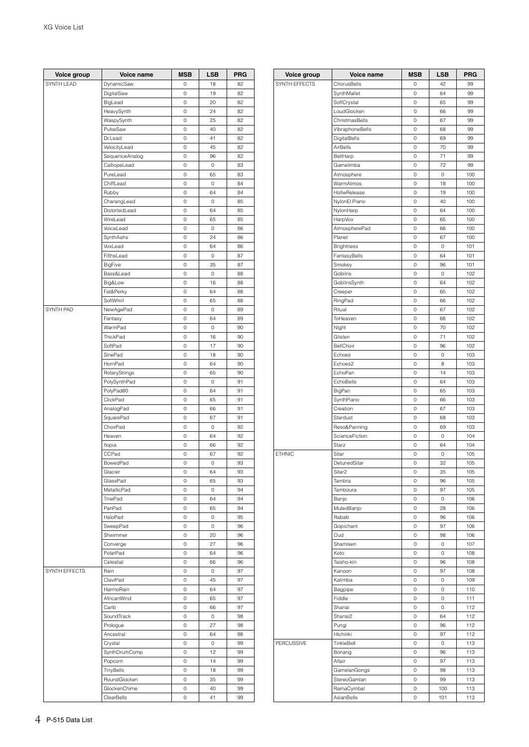| Voice group   | Voice name     | <b>MSB</b> | LSB         | <b>PRG</b> |
|---------------|----------------|------------|-------------|------------|
| SYNTH LEAD    | DynamicSaw     | 0          | 18          | 82         |
|               | DigitalSaw     | 0          | 19          | 82         |
|               | BigLead        | 0          | 20          | 82         |
|               | HeavySynth     | 0          | 24          | 82         |
|               | WaspySynth     | 0          | 25          | 82         |
|               | PulseSaw       | 0          | 40          | 82         |
|               |                |            |             | 82         |
|               | Dr.Lead        | 0<br>0     | 41<br>45    | 82         |
|               | VelocityLead   |            |             |            |
|               | SequenceAnalog | 0          | 96          | 82         |
|               | CalliopeLead   | 0          | 0           | 83         |
|               | PureLead       | 0          | 65          | 83         |
|               | ChiffLead      | 0          | 0           | 84         |
|               | Rubby          | 0          | 64          | 84         |
|               | CharangLead    | 0          | 0           | 85         |
|               | DistortedLead  | 0          | 64          | 85         |
|               | WireLead       | 0          | 65          | 85         |
|               | VoiceLead      | 0          | 0           | 86         |
|               | SynthAahs      | 0          | 24          | 86         |
|               | VoxLead        | 0          | 64          | 86         |
|               | FifthsLead     | 0          | 0           | 87         |
|               | <b>BigFive</b> | 0          | 35          | 87         |
|               | Bass&Lead      | 0          | 0           | 88         |
|               | Big&Low        | 0          | 16          | 88         |
|               | Fat&Perky      | 0          | 64          | 88         |
|               | SoftWhirl      | 0          | 65          | 88         |
| SYNTH PAD     | NewAgePad      | 0          | 0           | 89         |
|               | Fantasy        | 0          | 64          | 89         |
|               | WarmPad        | 0          | 0           | 90         |
|               | ThickPad       | 0          | 16          | 90         |
|               | SoftPad        | 0          | 17          | 90         |
|               | SinePad        | 0          | 18          | 90         |
|               | HornPad        | 0          | 64          | 90         |
|               | RotaryStrings  | 0          | 65          | 90         |
|               | PolySynthPad   | 0          | 0           | 91         |
|               | PolyPad80      | 0          | 64          | 91         |
|               | ClickPad       | 0          | 65          | 91         |
|               |                |            |             | 91         |
|               | AnalogPad      | 0          | 66<br>67    | 91         |
|               | SquarePad      | 0          |             |            |
|               | ChoirPad       | 0          | $\circ$     | 92         |
|               | Heaven         | 0          | 64          | 92         |
|               | Itopia         | 0          | 66          | 92         |
|               | CCPad          | 0          | 67          | 92         |
|               | BowedPad       | 0          | 0           | 93         |
|               | Glacier        | 0          | 64          | 93         |
|               | GlassPad       | 0          | 65          | 93         |
|               | MetallicPad    | 0          | $\circ$     | 94         |
|               | TinePad        | 0          | 64          | 94         |
|               | PanPad         | 0          | 65          | 94         |
|               | HaloPad        | 0          | 0           | 95         |
|               | SweepPad       | 0          | 0           | 96         |
|               | Shwimmer       | 0          | 20          | 96         |
|               | Converge       | 0          | 27          | 96         |
|               | PolarPad       | 0          | 64          | 96         |
|               | Celestial      | 0          | 66          | 96         |
| SYNTH EFFECTS | Rain           | 0          | $\circ$     | 97         |
|               | ClaviPad       | 0          | 45          | 97         |
|               | HarmoRain      | 0          | 64          | 97         |
|               | AfricanWind    | 0          | 65          | 97         |
|               | Carib          | 0          | 66          | 97         |
|               | SoundTrack     |            |             | 98         |
|               |                | 0          | 0           |            |
|               | Prologue       | 0          | 27          | 98         |
|               | Ancestral      | 0          | 64          | 98         |
|               | Crystal        | 0          | $\mathbb O$ | 99         |
|               | SynthDrumComp  | 0          | 12          | 99         |
|               | Popcorn        | 0          | 14          | 99         |
|               | TinyBells      | 0          | 18          | 99         |
|               | RoundGlocken   | 0          | 35          | 99         |
|               | GlockenChime   | 0          | 40          | 99         |
|               | ClearBells     | 0          | 41          | 99         |

| Voice group   | Voice name                     | <b>MSB</b> | LSB         | <b>PRG</b> |
|---------------|--------------------------------|------------|-------------|------------|
| SYNTH EFFECTS | ChorusBells                    | 0          | 42          | 99         |
|               | SynthMallet                    | 0          | 64          | 99         |
|               | SoftCrystal                    | 0          | 65          | 99         |
|               | LoudGlocken                    | 0          | 66          | 99         |
|               | ChristmasBells                 | 0          | 67          | 99         |
|               | VibraphoneBells                | 0          | 68          | 99         |
|               | DigitalBells                   | 0          | 69          | 99         |
|               | AirBells                       | 0          | 70          | 99         |
|               | BellHarp                       | 0          | 71          | 99         |
|               | Gamelimba                      | 0          | 72          | 99         |
|               | Atmosphere                     | 0          | 0           | 100        |
|               | WarmAtmos.                     | 0          | 18          | 100        |
|               | HollwRelease                   | 0          | 19          | 100        |
|               | NylonEl.Piano                  | 0          | 40          | 100        |
|               | NylonHarp                      | 0          | 64          | 100        |
|               | HarpVox                        | 0<br>0     | 65          | 100        |
|               | AtmospherePad                  | 0          | 66          | 100        |
|               | Planet<br>Brightness           | 0          | 67<br>0     | 100<br>101 |
|               | FantasyBells                   | 0          | 64          | 101        |
|               | Smokey                         | 0          | 96          | 101        |
|               | Goblins                        | 0          | 0           | 102        |
|               | GoblinsSynth                   | 0          | 64          | 102        |
|               | Creeper                        | 0          | 65          | 102        |
|               | RingPad                        | 0          | 66          | 102        |
|               | Ritual                         | 0          | 67          | 102        |
|               | ToHeaven                       | 0          | 68          | 102        |
|               | Night                          | 0          | 70          | 102        |
|               | Glisten                        | 0          | 71          | 102        |
|               | BellChoir                      | 0          | 96          | 102        |
|               | Echoes                         | 0          | 0           | 103        |
|               | Echoes2                        | 0          | 8           | 103        |
|               | EchoPan                        | 0          | 14          | 103        |
|               | EchoBells                      | 0          | 64          | 103        |
|               | BigPan                         | 0          | 65          | 103        |
|               | SynthPiano                     | 0          | 66          | 103        |
|               | Creation                       | 0          | 67          | 103        |
|               | Stardust                       | 0          | 68          | 103        |
|               | Reso&Panning<br>ScienceFiction | 0<br>0     | 69          | 103        |
|               | Starz                          | 0          | 0<br>64     | 104<br>104 |
| <b>ETHNIC</b> | Sitar                          | 0          | 0           | 105        |
|               | DetunedSitar                   | 0          | 32          | 105        |
|               | Sitar <sub>2</sub>             | 0          | 35          | 105        |
|               | Tambra                         | 0          | 96          | 105        |
|               | Tamboura                       | 0          | 97          | 105        |
|               | Banjo                          | 0          | 0           | 106        |
|               | MutedBanjo                     | 0          | 28          | 106        |
|               | Rabab                          | 0          | 96          | 106        |
|               | Gopichant                      | U          | 97          | 106        |
|               | Oud                            | 0          | 98          | 106        |
|               | Shamisen                       | 0          | 0           | 107        |
|               | Koto                           | 0          | 0           | 108        |
|               | Taisho-kin                     | 0          | 96          | 108        |
|               | Kanoon                         | 0          | 97          | 108        |
|               | Kalimba                        | 0          | 0           | 109        |
|               | Bagpipe                        | 0          | 0           | 110        |
|               | Fiddle                         | 0          | 0           | 111        |
|               | Shanai                         | 0          | 0           | 112        |
|               | Shanai2                        | 0          | 64          | 112        |
|               | Pungi                          | 0          | 96          | 112        |
|               | Hichiriki                      | 0          | 97          | 112        |
| PERCUSSIVE    | TinkleBell                     | 0          | $\mathsf O$ | 113        |
|               | Bonang                         | 0          | 96          | 113        |
|               | Altair                         | 0          | 97          | 113        |
|               | GamelanGongs<br>StereoGamlan   | 0<br>0     | 98<br>99    | 113<br>113 |
|               | RamaCymbal                     | 0          | 100         | 113        |
|               | AsianBells                     | 0          | 101         | 113        |
|               |                                |            |             |            |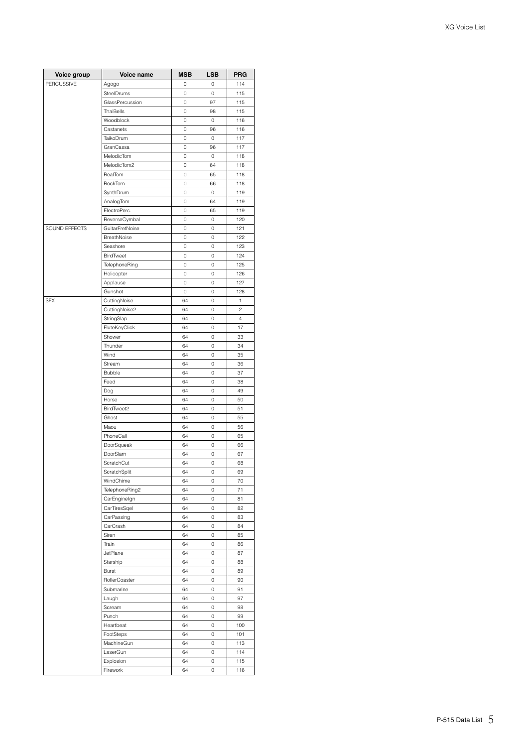| Voice group   | Voice name                 | <b>MSB</b> | LSB | <b>PRG</b> |
|---------------|----------------------------|------------|-----|------------|
| PERCUSSIVE    | Agogo                      | 0          | 0   | 114        |
|               | SteelDrums                 | 0          | 0   | 115        |
|               | GlassPercussion            | 0          | 97  | 115        |
|               | ThaiBells                  | 0          | 98  | 115        |
|               | Woodblock                  | 0          | 0   | 116        |
|               | Castanets                  | 0          | 96  | 116        |
|               | TaikoDrum                  | 0          | 0   | 117        |
|               | GranCassa                  | 0          | 96  | 117        |
|               | MelodicTom                 | 0          | 0   | 118        |
|               | MelodicTom2                | 0          | 64  | 118        |
|               | RealTom                    | 0          | 65  | 118        |
|               | RockTom                    | 0          | 66  | 118        |
|               | SynthDrum                  | 0          | 0   | 119        |
|               | AnalogTom                  | 0          | 64  | 119        |
|               | ElectroPerc.               | 0          | 65  | 119        |
|               | ReverseCymbal              | 0          | 0   | 120        |
| SOUND EFFECTS | GuitarFretNoise            | 0          | 0   | 121        |
|               | BreathNoise                | 0          | 0   | 122        |
|               | Seashore                   | 0          | 0   | 123        |
|               | <b>BirdTweet</b>           | 0          | 0   | 124        |
|               | TelephoneRing              | 0          | 0   | 125        |
|               | Helicopter                 | 0          | 0   | 126        |
|               | Applause                   | 0          | 0   | 127        |
|               | Gunshot                    | 0          | 0   | 128        |
| <b>SFX</b>    | CuttingNoise               | 64         | 0   | 1          |
|               | CuttingNoise2              | 64         | 0   | 2          |
|               | StringSlap                 | 64         | 0   | $\sqrt{4}$ |
|               | FluteKeyClick              | 64         | 0   | 17         |
|               | Shower                     | 64         | 0   | 33         |
|               | Thunder                    | 64         | 0   | 34         |
|               | Wind                       | 64         | 0   | 35         |
|               | Stream                     | 64         | 0   | 36         |
|               | <b>Bubble</b>              | 64         | 0   | 37         |
|               | Feed                       | 64         | 0   | 38         |
|               | Dog                        | 64         | 0   | 49         |
|               | Horse                      | 64         | 0   | 50         |
|               | BirdTweet2                 | 64         | 0   | 51         |
|               | Ghost                      | 64         | 0   | 55         |
|               | Maou                       | 64         | 0   | 56         |
|               | PhoneCall                  | 64         | 0   | 65         |
|               | DoorSqueak                 | 64         | 0   | 66         |
|               | DoorSlam                   | 64         | 0   | 67         |
|               | ScratchCut                 | 64         | 0   | 68         |
|               | ScratchSplit               | 64         | 0   | 69         |
|               | WindChime                  | 64         | 0   | 70         |
|               | TelephoneRing2             | 64         | 0   | 71         |
|               |                            | 64         | 0   | 81         |
|               | CarEnginelgn               | 64         | 0   | 82         |
|               | CarTiresSqel<br>CarPassing | 64         | 0   | 83         |
|               |                            |            |     |            |
|               | CarCrash                   | 64         | 0   | 84         |
|               | Siren                      | 64         | 0   | 85<br>86   |
|               | Train<br>JetPlane          | 64         | 0   |            |
|               |                            | 64         | 0   | 87         |
|               | Starship                   | 64         | 0   | 88         |
|               | Burst                      | 64         | 0   | 89         |
|               | RollerCoaster              | 64         | 0   | 90         |
|               | Submarine                  | 64         | 0   | 91         |
|               | Laugh                      | 64         | 0   | 97         |
|               | Scream                     | 64         | 0   | 98         |
|               | Punch                      | 64         | 0   | 99         |
|               | Heartbeat                  | 64         | 0   | 100        |
|               | FootSteps                  | 64         | 0   | 101        |
|               | MachineGun                 | 64         | 0   | 113        |
|               | LaserGun                   | 64         | 0   | 114        |
|               | Explosion                  | 64         | 0   | 115        |
|               | Firework                   | 64         | 0   | 116        |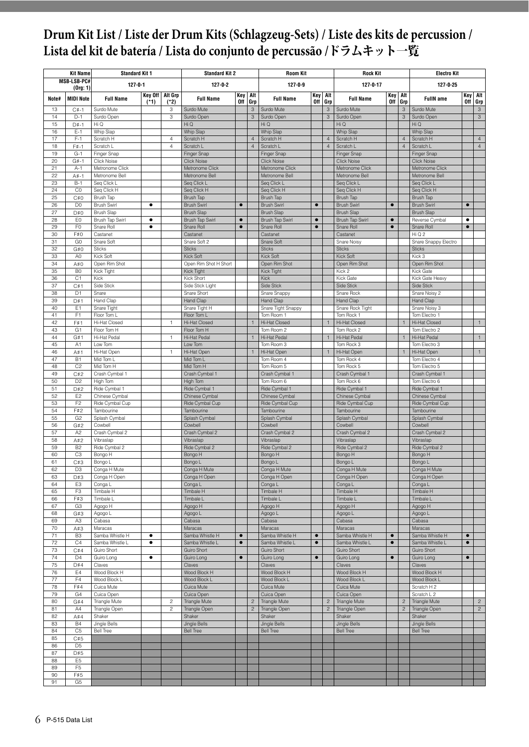## <span id="page-5-0"></span>**Drum Kit List / Liste der Drum Kits (Schlagzeug-Sets) / Liste des kits de percussion / Lista del kit de batería / Lista do conjunto de percussão /**ドラムキット一覧

|          | <b>Kit Name</b>                  | <b>Standard Kit 1</b>              |                          |                                  | <b>Standard Kit 2</b>              |                        |                                  | <b>Room Kit</b>                    |                        |                | <b>Rock Kit</b>                    |                        |                                  | <b>Electro Kit</b>                 |                |                |
|----------|----------------------------------|------------------------------------|--------------------------|----------------------------------|------------------------------------|------------------------|----------------------------------|------------------------------------|------------------------|----------------|------------------------------------|------------------------|----------------------------------|------------------------------------|----------------|----------------|
|          | MSB-LSB-PC#<br>(0rg: 1)          | $127 - 0 - 1$                      |                          |                                  | $127 - 0 - 2$                      |                        |                                  | $127 - 0 - 9$                      |                        |                | 127-0-17                           |                        |                                  | 127-0-25                           |                |                |
| Note#    | <b>MIDI Note</b>                 | <b>Full Name</b>                   | Key Off   Alt Grp<br>(1) | $(*2)$                           | <b>Full Name</b>                   | Key<br>0ff             | Alt<br>Grp                       | <b>Full Name</b>                   | Key<br><b>Off</b>      | Alt<br>Grp     | <b>Full Name</b>                   | Key<br>Off             | Alt<br>Grp                       | <b>FullN</b> ame                   | Key<br>0ff     | Alt<br>Grp     |
| 13       | $C#-1$                           | Surdo Mute                         |                          | 3                                | Surdo Mute                         |                        | 3                                | Surdo Mute                         |                        | 3              | Surdo Mute                         |                        | 3                                | Surdo Mute                         |                | $\mathbf{3}$   |
| 14       | $D-1$                            | Surdo Open                         |                          | 3                                | Surdo Open                         |                        | 3                                | Surdo Open                         |                        | 3              | Surdo Open                         |                        | $\mathsf 3$                      | Surdo Open                         |                | $_{3}$         |
| 15       | $D#-1$                           | Hi Q                               |                          |                                  | Hi Q                               |                        |                                  | Hi Q                               |                        |                | Hi Q                               |                        |                                  | Hi Q                               |                |                |
| 16<br>17 | $E-1$<br>$F-1$                   | Whip Slap<br>Scratch H             |                          |                                  | Whip Slap<br>Scratch H             |                        |                                  | Whip Slap                          |                        | $\overline{4}$ | <b>Whip Slap</b><br>Scratch H      |                        |                                  | Whip Slap                          |                | $\overline{4}$ |
| 18       | F#-1                             | Scratch L                          |                          | $\overline{4}$<br>$\overline{4}$ | Scratch L                          |                        | $\overline{4}$<br>$\overline{4}$ | Scratch H<br>Scratch L             |                        | $\overline{4}$ | Scratch L                          |                        | $\overline{4}$<br>$\overline{4}$ | Scratch H<br>Scratch L             |                | $\overline{4}$ |
| 19       | $G-1$                            | Finger Snap                        |                          |                                  | Finger Snap                        |                        |                                  | <b>Finger Snap</b>                 |                        |                | <b>Finger Snap</b>                 |                        |                                  | <b>Finger Snap</b>                 |                |                |
| 20       | $G# - 1$                         | Click Noise                        |                          |                                  | <b>Click Noise</b>                 |                        |                                  | <b>Click Noise</b>                 |                        |                | <b>Click Noise</b>                 |                        |                                  | <b>Click Noise</b>                 |                |                |
| 21       | $A-1$                            | Metronome Click                    |                          |                                  | Metronome Click                    |                        |                                  | Metronome Click                    |                        |                | Metronome Click                    |                        |                                  | Metronome Click                    |                |                |
| 22<br>23 | $A# - 1$<br>$B-1$                | Metronome Bell                     |                          |                                  | Metronome Bell<br>Seg Click L      |                        |                                  | Metronome Bell<br>Seg Click L      |                        |                | Metronome Bell<br>Seq Click L      |                        |                                  | Metronome Bell<br>Seg Click L      |                |                |
| 24       | C <sub>0</sub>                   | Seq Click L<br>Seg Click H         |                          |                                  | Seg Click H                        |                        |                                  | Seq Click H                        |                        |                | Seq Click H                        |                        |                                  | Seg Click H                        |                |                |
| 25       | C#0                              | Brush Tap                          |                          |                                  | Brush Tap                          |                        |                                  | Brush Tap                          |                        |                | Brush Tap                          |                        |                                  | Brush Tap                          |                |                |
| 26       | D <sub>0</sub>                   | <b>Brush Swirl</b>                 | ٠                        |                                  | <b>Brush Swirl</b>                 | $\bullet$              |                                  | <b>Brush Swirl</b>                 | $\bullet$              |                | <b>Brush Swirl</b>                 | $\bullet$              |                                  | <b>Brush Swirl</b>                 | $\bullet$      |                |
| 27       | D#0                              | <b>Brush Slap</b>                  |                          |                                  | <b>Brush Slap</b>                  |                        |                                  | <b>Brush Slap</b>                  |                        |                | <b>Brush Slap</b>                  |                        |                                  | <b>Brush Slap</b>                  |                |                |
| 28<br>29 | EO<br>F <sub>0</sub>             | Brush Tap Swirl<br>Snare Roll      | ٠<br>$\bullet$           |                                  | Brush Tap Swirl<br>Snare Roll      | $\bullet$<br>$\bullet$ |                                  | Brush Tap Swirl<br>Snare Roll      | $\bullet$<br>$\bullet$ |                | Brush Tap Swirl<br>Snare Roll      | $\bullet$<br>$\bullet$ |                                  | Reverse Cymbal<br>Snare Roll       | ٠<br>$\bullet$ |                |
| 30       | F#0                              | Castanet                           |                          |                                  | Castanet                           |                        |                                  | Castanet                           |                        |                | Castanet                           |                        |                                  | Hi Q 2                             |                |                |
| 31       | G <sub>0</sub>                   | Snare Soft                         |                          |                                  | Snare Soft 2                       |                        |                                  | Snare Soft                         |                        |                | Snare Noisy                        |                        |                                  | Snare Snappy Electro               |                |                |
| 32       | G#0                              | <b>Sticks</b>                      |                          |                                  | <b>Sticks</b>                      |                        |                                  | <b>Sticks</b>                      |                        |                | <b>Sticks</b>                      |                        |                                  | <b>Sticks</b>                      |                |                |
| 33       | A <sub>0</sub>                   | Kick Soft                          |                          |                                  | Kick Soft                          |                        |                                  | Kick Soft                          |                        |                | Kick Soft                          |                        |                                  | Kick 3                             |                |                |
| 34       | A#0                              | Open Rim Shot                      |                          |                                  | Open Rim Shot H Short              |                        |                                  | Open Rim Shot                      |                        |                | Open Rim Shot                      |                        |                                  | Open Rim Shot                      |                |                |
| 35<br>36 | B <sub>0</sub><br>C <sub>1</sub> | Kick Tight<br>Kick                 |                          |                                  | <b>Kick Tight</b><br>Kick Short    |                        |                                  | <b>Kick Tight</b><br>Kick          |                        |                | Kick 2<br>Kick Gate                |                        |                                  | Kick Gate<br>Kick Gate Heavy       |                |                |
| 37       | C#1                              | Side Stick                         |                          |                                  | Side Stick Light                   |                        |                                  | Side Stick                         |                        |                | Side Stick                         |                        |                                  | Side Stick                         |                |                |
| 38       | D <sub>1</sub>                   | Snare                              |                          |                                  | Snare Short                        |                        |                                  | Snare Snappy                       |                        |                | Snare Rock                         |                        |                                  | Snare Noisy 2                      |                |                |
| 39       | D#1                              | Hand Clap                          |                          |                                  | Hand Clap                          |                        |                                  | Hand Clap                          |                        |                | Hand Clap                          |                        |                                  | Hand Clap                          |                |                |
| 40       | E <sub>1</sub><br>F <sub>1</sub> | Snare Tight                        |                          |                                  | Snare Tight H                      |                        |                                  | Snare Tight Snappy                 |                        |                | Snare Rock Tight                   |                        |                                  | Snare Noisy 3<br>Tom Electro 1     |                |                |
| 41<br>42 | F#1                              | Floor Tom L<br>Hi-Hat Closed       |                          | 1                                | Floor Tom L<br>Hi-Hat Closed       |                        | $\mathbf{1}$                     | Tom Room 1<br>Hi-Hat Closed        |                        |                | Tom Rock 1<br>Hi-Hat Closed        |                        |                                  | Hi-Hat Closed                      |                |                |
| 43       | G <sub>1</sub>                   | Floor Tom H                        |                          |                                  | Floor Tom H                        |                        |                                  | Tom Room 2                         |                        |                | Tom Rock 2                         |                        |                                  | Tom Electro 2                      |                |                |
| 44       | G#1                              | Hi-Hat Pedal                       |                          | 1                                | Hi-Hat Pedal                       |                        | $\mathbf{1}$                     | Hi-Hat Pedal                       |                        |                | Hi-Hat Pedal                       |                        |                                  | Hi-Hat Pedal                       |                | $\mathbf{1}$   |
| 45       | A <sub>1</sub>                   | Low Tom                            |                          |                                  | Low Tom                            |                        |                                  | Tom Room 3                         |                        |                | Tom Rock 3                         |                        |                                  | Tom Electro 3                      |                |                |
| 46       | A#1                              | Hi-Hat Open                        |                          | 1                                | Hi-Hat Open                        |                        | $\mathbf{1}$                     | Hi-Hat Open                        |                        | 1              | Hi-Hat Open                        |                        |                                  | Hi-Hat Open                        |                | $\mathbf{1}$   |
| 47<br>48 | <b>B1</b><br>C <sub>2</sub>      | Mid Tom L<br>Mid Tom H             |                          |                                  | Mid Tom L<br>Mid Tom H             |                        |                                  | Tom Room 4<br>Tom Room 5           |                        |                | Tom Rock 4<br>Tom Rock 5           |                        |                                  | Tom Electro 4<br>Tom Electro 5     |                |                |
| 49       | C#2                              | Crash Cymbal 1                     |                          |                                  | Crash Cymbal 1                     |                        |                                  | Crash Cymbal 1                     |                        |                | Crash Cymbal 1                     |                        |                                  | Crash Cymbal 1                     |                |                |
| 50       | D <sub>2</sub>                   | High Tom                           |                          |                                  | High Tom                           |                        |                                  | Tom Room 6                         |                        |                | Tom Rock 6                         |                        |                                  | Tom Electro 6                      |                |                |
| 51       | D#2                              | Ride Cymbal 1                      |                          |                                  | Ride Cymbal 1                      |                        |                                  | Ride Cymbal 1                      |                        |                | Ride Cymbal 1                      |                        |                                  | Ride Cymbal 1                      |                |                |
| 52       | E <sub>2</sub>                   | Chinese Cymbal                     |                          |                                  | Chinese Cymbal                     |                        |                                  | Chinese Cymbal                     |                        |                | Chinese Cymbal                     |                        |                                  | Chinese Cymbal                     |                |                |
| 53<br>54 | F <sub>2</sub><br>F#2            | Ride Cymbal Cup<br>Tambourine      |                          |                                  | Ride Cymbal Cup<br>Tambourine      |                        |                                  | Ride Cymbal Cup<br>Tambourine      |                        |                | Ride Cymbal Cup<br>Tambourine      |                        |                                  | Ride Cymbal Cup<br>Tambourine      |                |                |
| 55       | G <sub>2</sub>                   | Splash Cymbal                      |                          |                                  | Splash Cymbal                      |                        |                                  | Splash Cymbal                      |                        |                | Splash Cymbal                      |                        |                                  | Splash Cymbal                      |                |                |
| 56       | G#2                              | Cowbell                            |                          |                                  | Cowbell                            |                        |                                  | Cowbell                            |                        |                | Cowbell                            |                        |                                  | Cowbell                            |                |                |
| 57       | A <sub>2</sub>                   | Crash Cymbal 2                     |                          |                                  | Crash Cymbal 2                     |                        |                                  | Crash Cymbal 2                     |                        |                | Crash Cymbal 2                     |                        |                                  | Crash Cymbal 2                     |                |                |
| 58       | A#2                              | Vibraslap                          |                          |                                  | Vibraslap                          |                        |                                  | Vibraslap                          |                        |                | Vibraslap                          |                        |                                  | Vibraslap                          |                |                |
| 59<br>60 | B <sub>2</sub><br>C <sub>3</sub> | Ride Cymbal 2<br>Bongo H           |                          |                                  | Ride Cymbal 2<br>Bongo H           |                        |                                  | Ride Cymbal 2<br>Bongo H           |                        |                | Ride Cymbal 2<br>Bongo H           |                        |                                  | Ride Cymbal 2<br>Bongo H           |                |                |
| 61       | C#3                              | Bongo L                            |                          |                                  | Bongo L                            |                        |                                  | Bongo L                            |                        |                | Bongo L                            |                        |                                  | Bongo L                            |                |                |
| 62       | D <sub>3</sub>                   | Conga H Mute                       |                          |                                  | Conga H Mute                       |                        |                                  | Conga H Mute                       |                        |                | Conga H Mute                       |                        |                                  | Conga H Mute                       |                |                |
| 63       | D#3                              | Conga H Open                       |                          |                                  | Conga H Open                       |                        |                                  | Conga H Open                       |                        |                | Conga H Open                       |                        |                                  | Conga H Open                       |                |                |
| 64<br>65 | E <sub>3</sub><br>F <sub>3</sub> | Conga L<br>Timbale H               |                          |                                  | Conga L<br>Timbale H               |                        |                                  | Conga L<br>Timbale H               |                        |                | Conga L<br>Timbale H               |                        |                                  | Conga L<br>Timbale H               |                |                |
| 66       | F#3                              | Timbale I                          |                          |                                  | Timbale L                          |                        |                                  | Timbale L                          |                        |                | Timbale L                          |                        |                                  | Timbale L                          |                |                |
| 67       | G <sub>3</sub>                   | Agogo H                            |                          |                                  | Agogo H                            |                        |                                  | Agogo H                            |                        |                | Agogo H                            |                        |                                  | Agogo H                            |                |                |
| 68       | G#3                              | Agogo L                            |                          |                                  | Agogo L                            |                        |                                  | Agogo L                            |                        |                | Agogo L                            |                        |                                  | Agogo L                            |                |                |
| 69       | A <sub>3</sub>                   | Cabasa                             |                          |                                  | Cabasa                             |                        |                                  | Cabasa                             |                        |                | Cabasa                             |                        |                                  | Cabasa                             |                |                |
| 70       | A#3                              | Maracas                            | $\bullet$                |                                  | Maracas                            | $\bullet$              |                                  | Maracas                            | $\bullet$              |                | Maracas                            |                        |                                  | Maracas                            | $\bullet$      |                |
| 71<br>72 | B <sub>3</sub><br>C4             | Samba Whistle H<br>Samba Whistle L | ٠                        |                                  | Samba Whistle H<br>Samba Whistle L | $\bullet$              |                                  | Samba Whistle H<br>Samba Whistle L | $\bullet$              |                | Samba Whistle H<br>Samba Whistle L | $\bullet$<br>$\bullet$ |                                  | Samba Whistle H<br>Samba Whistle L | $\bullet$      |                |
| 73       | C#4                              | Guiro Short                        |                          |                                  | Guiro Short                        |                        |                                  | Guiro Short                        |                        |                | Guiro Short                        |                        |                                  | Guiro Short                        |                |                |
| 74       | D <sub>4</sub>                   | Guiro Long                         | $\bullet$                |                                  | Guiro Long                         | $\bullet$              |                                  | Guiro Long                         | $\bullet$              |                | Guiro Long                         | $\bullet$              |                                  | Guiro Long                         | $\bullet$      |                |
| 75       | D#4                              | Claves                             |                          |                                  | Claves                             |                        |                                  | Claves                             |                        |                | Claves                             |                        |                                  | Claves                             |                |                |
| 76<br>77 | E4<br>F4                         | Wood Block H<br>Wood Block L       |                          |                                  | Wood Block H<br>Wood Block L       |                        |                                  | Wood Block H<br>Wood Block L       |                        |                | Wood Block H<br>Wood Block L       |                        |                                  | Wood Block H<br>Wood Block L       |                |                |
| 78       | F#4                              | Cuica Mute                         |                          |                                  | Cuica Mute                         |                        |                                  | Cuica Mute                         |                        |                | Cuica Mute                         |                        |                                  | Scratch H 2                        |                |                |
| 79       | G <sub>4</sub>                   | Cuica Open                         |                          |                                  | Cuica Open                         |                        |                                  | Cuica Open                         |                        |                | Cuica Open                         |                        |                                  | Scratch L 2                        |                |                |
| 80       | G#4                              | Triangle Mute                      |                          | $\overline{c}$                   | Triangle Mute                      |                        | $\overline{c}$                   | Triangle Mute                      |                        | $\overline{c}$ | <b>Triangle Mute</b>               |                        | $\overline{2}$                   | Triangle Mute                      |                | $\overline{c}$ |
| 81       | A4                               | Triangle Open                      |                          | $\overline{c}$                   | Triangle Open                      |                        | $\overline{c}$                   | Triangle Open                      |                        | $\overline{c}$ | Triangle Open                      |                        | $\overline{c}$                   | Triangle Open                      |                | $\overline{c}$ |
| 82       | A#4<br><b>B4</b>                 | Shaker<br>Jingle Bells             |                          |                                  | Shaker<br>Jingle Bells             |                        |                                  | Shaker<br>Jingle Bells             |                        |                | Shaker<br><b>Jingle Bells</b>      |                        |                                  | Shaker<br><b>Jingle Bells</b>      |                |                |
| 83<br>84 | C <sub>5</sub>                   | <b>Bell Tree</b>                   |                          |                                  | <b>Bell Tree</b>                   |                        |                                  | <b>Bell Tree</b>                   |                        |                | <b>Bell Tree</b>                   |                        |                                  | <b>Bell Tree</b>                   |                |                |
| 85       | C#5                              |                                    |                          |                                  |                                    |                        |                                  |                                    |                        |                |                                    |                        |                                  |                                    |                |                |
| 86       | D <sub>5</sub>                   |                                    |                          |                                  |                                    |                        |                                  |                                    |                        |                |                                    |                        |                                  |                                    |                |                |
| 87       | D#5                              |                                    |                          |                                  |                                    |                        |                                  |                                    |                        |                |                                    |                        |                                  |                                    |                |                |
| 88<br>89 | E <sub>5</sub><br>F <sub>5</sub> |                                    |                          |                                  |                                    |                        |                                  |                                    |                        |                |                                    |                        |                                  |                                    |                |                |
| 90       | F#5                              |                                    |                          |                                  |                                    |                        |                                  |                                    |                        |                |                                    |                        |                                  |                                    |                |                |
| 91       | G5                               |                                    |                          |                                  |                                    |                        |                                  |                                    |                        |                |                                    |                        |                                  |                                    |                |                |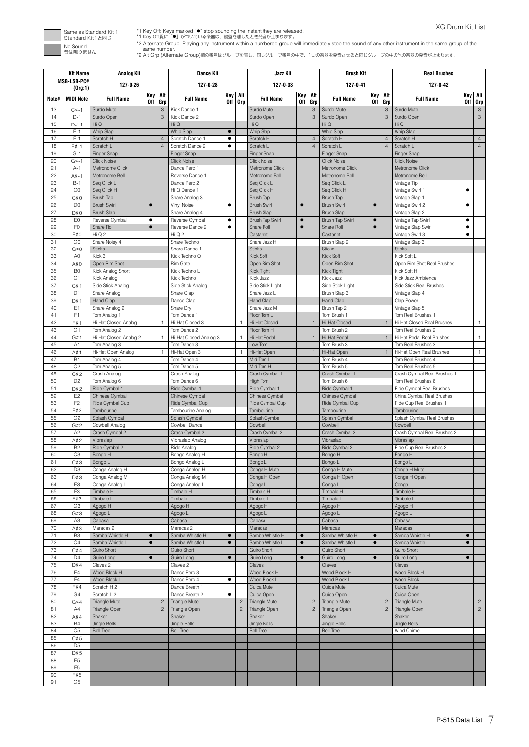

\*1 Key Off: Keys marked \*●" stop sounding the instant they are released.<br>\*1 Key Off覧ic. 「●」がついている楽器は、鍵盤を離したとき発音が止まります。<br>\*2 Alternate Group: Playing any instrument within a numbered group will immediately stop the sound of

|          | <b>Kit Name</b>                  | <b>Analog Kit</b>                       |                        |                | <b>Dance Kit</b>                        |                        |                | Jazz Kit                              |                        |                | <b>Brush Kit</b>                        |                        |                | <b>Real Brushes</b>                               |                        |                |
|----------|----------------------------------|-----------------------------------------|------------------------|----------------|-----------------------------------------|------------------------|----------------|---------------------------------------|------------------------|----------------|-----------------------------------------|------------------------|----------------|---------------------------------------------------|------------------------|----------------|
|          | MSB-LSB-PC#<br>(0rg:1)           | 127-0-26                                |                        |                | 127-0-28                                |                        |                | 127-0-33                              |                        |                | 127-0-41                                |                        |                | $127 - 0 - 42$                                    |                        |                |
| Note#    | <b>MIDI Note</b>                 | <b>Full Name</b>                        | Key<br><b>Off</b>      | Alt<br>Gro     | <b>Full Name</b>                        | Key<br>0ff             | Alt<br>Grp     | <b>Full Name</b>                      | Key<br>Off             | Alt<br>Grp     | <b>Full Name</b>                        | Key<br><b>Off</b>      | Alt<br>Grp     | <b>Full Name</b>                                  | Key<br><b>Off</b>      | Alt<br>Grp     |
| 13       | $C# - 1$                         | Surdo Mute                              |                        | 3              | Kick Dance 1                            |                        |                | Surdo Mute                            |                        | 3              | Surdo Mute                              |                        | 3              | Surdo Mute                                        |                        | 3              |
| 14       | $D-1$                            | Surdo Open                              |                        | 3              | Kick Dance 2                            |                        |                | Surdo Open                            |                        | 3              | Surdo Open                              |                        | 3              | Surdo Open                                        |                        | 3              |
| 15<br>16 | $D#-1$<br>$E-1$                  | Hi Q<br>Whip Slap                       |                        |                | Hi Q<br>Whip Slap                       | $\bullet$              |                | Hi Q<br>Whip Slap                     |                        |                | Hi Q<br>Whip Slap                       |                        |                | Hi Q<br><b>Whip Slap</b>                          |                        |                |
| 17       | $F-1$                            | Scratch H                               |                        | $\overline{4}$ | Scratch Dance 1                         | ٠                      |                | Scratch H                             |                        | $\overline{4}$ | Scratch H                               |                        | $\overline{4}$ | Scratch H                                         |                        | $\overline{4}$ |
| 18       | $F# - 1$                         | Scratch L                               |                        | $\overline{4}$ | Scratch Dance 2                         | $\bullet$              |                | Scratch L                             |                        | $\overline{4}$ | Scratch L                               |                        | $\overline{4}$ | Scratch L                                         |                        | $\overline{4}$ |
| 19       | $G-1$                            | Finger Snap                             |                        |                | Finger Snap                             |                        |                | Finger Snap                           |                        |                | Finger Snap                             |                        |                | Finger Snap                                       |                        |                |
| 20<br>21 | $G#-1$<br>$A-1$                  | Click Noise<br>Metronome Click          |                        |                | <b>Click Noise</b><br>Dance Perc 1      |                        |                | <b>Click Noise</b><br>Metronome Click |                        |                | Click Noise<br>Metronome Click          |                        |                | <b>Click Noise</b><br>Metronome Click             |                        |                |
| 22       | $A# - 1$                         | Metronome Bell                          |                        |                | Reverse Dance 1                         |                        |                | Metronome Bell                        |                        |                | Metronome Bell                          |                        |                | Metronome Bell                                    |                        |                |
| 23       | $B-1$                            | Seg Click L                             |                        |                | Dance Perc 2                            |                        |                | Seg Click L                           |                        |                | Seq Click L                             |                        |                | Vintage Tip                                       |                        |                |
| 24       | C <sub>0</sub>                   | Seq Click H                             |                        |                | Hi Q Dance 1                            |                        |                | Seq Click H                           |                        |                | Seq Click H                             |                        |                | Vintage Swirl 1                                   | $\bullet$              |                |
| 25       | C#0                              | Brush Tap                               | $\bullet$              |                | Snare Analog 3                          | ٠                      |                | Brush Tap<br><b>Brush Swirl</b>       |                        |                | Brush Tap                               | $\bullet$              |                | Vintage Slap 1                                    | ٠                      |                |
| 26<br>27 | D <sub>0</sub><br>D#0            | <b>Brush Swirl</b><br><b>Brush Slap</b> |                        |                | Vinyl Noise<br>Snare Analog 4           |                        |                | <b>Brush Slap</b>                     | $\bullet$              |                | <b>Brush Swirl</b><br><b>Brush Slap</b> |                        |                | Vintage Swirl 2<br>Vintage Slap 2                 |                        |                |
| 28       | EO                               | Reverse Cymbal                          | ٠                      |                | Reverse Cymbal                          | ٠                      |                | Brush Tap Swirl                       | $\bullet$              |                | Brush Tap Swirl                         | $\bullet$              |                | Vintage Tap Swirl                                 | ٠                      |                |
| 29       | F <sub>0</sub>                   | Snare Roll                              | $\bullet$              |                | Reverse Dance 2                         | ٠                      |                | Snare Roll                            | $\bullet$              |                | Snare Roll                              | $\bullet$              |                | Vintage Slap Swirl                                | ٠                      |                |
| 30       | F#0                              | Hi Q 2                                  |                        |                | Hi Q 2                                  |                        |                | Castanet                              |                        |                | Castanet                                |                        |                | Vintage Swirl 3                                   | ٠                      |                |
| 31<br>32 | G <sub>0</sub>                   | Snare Noisy 4<br><b>Sticks</b>          |                        |                | Snare Techno<br>Snare Dance 1           |                        |                | Snare Jazz H<br><b>Sticks</b>         |                        |                | Brush Slap 2<br><b>Sticks</b>           |                        |                | Vintage Slap 3<br><b>Sticks</b>                   |                        |                |
| 33       | G#0<br>A <sub>0</sub>            | Kick <sub>3</sub>                       |                        |                | Kick Techno Q                           |                        |                | <b>Kick Soft</b>                      |                        |                | Kick Soft                               |                        |                | Kick Soft L                                       |                        |                |
| 34       | A#0                              | Open Rim Shot                           |                        |                | Rim Gate                                |                        |                | Open Rim Shot                         |                        |                | Open Rim Shot                           |                        |                | Open Rim Shot Real Brushes                        |                        |                |
| 35       | B <sub>0</sub>                   | Kick Analog Short                       |                        |                | Kick Techno L                           |                        |                | Kick Tight                            |                        |                | Kick Tight                              |                        |                | Kick Soft H                                       |                        |                |
| 36       | C <sub>1</sub>                   | Kick Analog                             |                        |                | Kick Techno                             |                        |                | Kick Jazz                             |                        |                | Kick Jazz                               |                        |                | Kick Jazz Ambience                                |                        |                |
| 37<br>38 | C#1<br>D <sub>1</sub>            | Side Stick Analog<br>Snare Analog       |                        |                | Side Stick Analog<br>Snare Clap         |                        |                | Side Stick Light<br>Snare Jazz I      |                        |                | Side Stick Light<br>Brush Slap 3        |                        |                | Side Stick Real Brushes<br>Vintage Slap 4         |                        |                |
| 39       | D#1                              | Hand Clap                               |                        |                | Dance Clap                              |                        |                | Hand Clap                             |                        |                | Hand Clap                               |                        |                | Clap Power                                        |                        |                |
| 40       | E1                               | Snare Analog 2                          |                        |                | Snare Dry                               |                        |                | Snare Jazz M                          |                        |                | Brush Tap 2                             |                        |                | Vintage Slap 5                                    |                        |                |
| 41       | F <sub>1</sub>                   | Tom Analog 1                            |                        |                | Tom Dance 1                             |                        |                | Floor Tom L                           |                        |                | Tom Brush 1                             |                        |                | Tom Real Brushes 1                                |                        |                |
| 42       | F#1                              | Hi-Hat Closed Analog                    |                        |                | Hi-Hat Closed 3                         |                        | 1              | Hi-Hat Closed                         |                        | $\overline{1}$ | Hi-Hat Closed                           |                        | $\overline{1}$ | Hi-Hat Closed Real Brushes                        |                        | $\mathbf{1}$   |
| 43<br>44 | G <sub>1</sub><br>G#1            | Tom Analog 2<br>Hi-Hat Closed Analog 2  |                        | 1              | Tom Dance 2<br>Hi-Hat Closed Analog 3   |                        | 1              | Floor Tom H<br>Hi-Hat Pedal           |                        | 1              | Tom Brush 2<br>Hi-Hat Pedal             |                        | $\mathbf{1}$   | Tom Real Brushes 2<br>Hi-Hat Pedal Real Brushes   |                        | 1              |
| 45       | A1                               | Tom Analog 3                            |                        |                | Tom Dance 3                             |                        |                | Low Tom                               |                        |                | Tom Brush 3                             |                        |                | Tom Real Brushes 3                                |                        |                |
| 46       | A#1                              | Hi-Hat Open Analog                      |                        | 1              | Hi-Hat Open 3                           |                        | 1              | Hi-Hat Open                           |                        | 1              | Hi-Hat Open                             |                        | $\overline{1}$ | Hi-Hat Open Real Brushes                          |                        | 1              |
| 47       | <b>B1</b>                        | Tom Analog 4                            |                        |                | Tom Dance 4                             |                        |                | Mid Tom L                             |                        |                | Tom Brush 4                             |                        |                | Tom Real Brushes 4                                |                        |                |
| 48       | C <sub>2</sub>                   | Tom Analog 5                            |                        |                | Tom Dance 5                             |                        |                | Mid Tom H                             |                        |                | Tom Brush 5                             |                        |                | Tom Real Brushes 5                                |                        |                |
| 49<br>50 | C#2<br>D <sub>2</sub>            | Crash Analog<br>Tom Analog 6            |                        |                | Crash Analog<br>Tom Dance 6             |                        |                | Crash Cymbal 1<br>High Tom            |                        |                | Crash Cymbal 1<br>Tom Brush 6           |                        |                | Crash Cymbal Real Brushes 1<br>Tom Real Brushes 6 |                        |                |
| 51       | D#2                              | Ride Cymbal 1                           |                        |                | Ride Cymbal 1                           |                        |                | Ride Cymbal 1                         |                        |                | Ride Cymbal 1                           |                        |                | Ride Cymbal Real Brushes                          |                        |                |
| 52       | E <sub>2</sub>                   | Chinese Cymbal                          |                        |                | Chinese Cymbal                          |                        |                | Chinese Cymbal                        |                        |                | Chinese Cymbal                          |                        |                | China Cymbal Real Brushes                         |                        |                |
| 53       | F <sub>2</sub>                   | Ride Cymbal Cup                         |                        |                | Ride Cymbal Cup                         |                        |                | Ride Cymbal Cup                       |                        |                | Ride Cymbal Cup                         |                        |                | Ride Cup Real Brushes 1                           |                        |                |
| 54       | F#2                              | Tambourine                              |                        |                | Tambourine Analog                       |                        |                | Tambourine                            |                        |                | Tambourine                              |                        |                | Tambourine                                        |                        |                |
| 55<br>56 | G <sub>2</sub><br>G#2            | Splash Cymbal<br>Cowbell Analog         |                        |                | Splash Cymbal<br>Cowbell Dance          |                        |                | Splash Cymbal<br>Cowbell              |                        |                | Splash Cymbal<br>Cowbell                |                        |                | Splash Cymbal Real Brushes<br>Cowbell             |                        |                |
| 57       | A <sub>2</sub>                   | Crash Cymbal 2                          |                        |                | Crash Cymbal 2                          |                        |                | Crash Cymbal 2                        |                        |                | Crash Cymbal 2                          |                        |                | Crash Cymbal Real Brushes 2                       |                        |                |
| 58       | A#2                              | Vibraslap                               |                        |                | Vibraslap Analog                        |                        |                | Vibraslap                             |                        |                | Vibraslap                               |                        |                | Vibraslap                                         |                        |                |
| 59       | B <sub>2</sub>                   | Ride Cymbal 2                           |                        |                | Ride Analog                             |                        |                | Ride Cymbal 2                         |                        |                | Ride Cymbal 2                           |                        |                | Ride Cup Real Brushes 2                           |                        |                |
| 60<br>61 | C <sub>3</sub><br>C#3            | Bongo H<br>Bongo L                      |                        |                | Bongo Analog H<br>Bongo Analog L        |                        |                | Bongo H<br>Bongo L                    |                        |                | Bongo H<br>Bongo L                      |                        |                | Bongo H<br>Bongo L                                |                        |                |
| 62       | D <sub>3</sub>                   | Conga Analog H                          |                        |                | Conga Analog H                          |                        |                | Conga H Mute                          |                        |                | Conga H Mute                            |                        |                | Conga H Mute                                      |                        |                |
| 63       | D#3                              | Conga Analog M                          |                        |                | Conga Analog M                          |                        |                | Conga H Open                          |                        |                | Conga H Open                            |                        |                | Conga H Open                                      |                        |                |
| 64       | E <sub>3</sub>                   | Conga Analog L                          |                        |                | Conga Analog L                          |                        |                | Conga L                               |                        |                | Conga L                                 |                        |                | Congal                                            |                        |                |
| 65       | F <sub>3</sub>                   | Timbale H                               |                        |                | Timbale H                               |                        |                | Timbale H                             |                        |                | Timbale H<br>Timbale L                  |                        |                | <b>Timbale H</b>                                  |                        |                |
| 66<br>67 | F#3<br>G <sub>3</sub>            | Timbale L<br>Agogo H                    |                        |                | Timbale L<br>Agogo H                    |                        |                | Timbale L<br>Agogo H                  |                        |                | Agogo H                                 |                        |                | Timbale L<br>Agogo H                              |                        |                |
| 68       | G#3                              | Agogo L                                 |                        |                | Agogo L                                 |                        |                | Agogo L                               |                        |                | Agogo L                                 |                        |                | Agogo L                                           |                        |                |
| 69       | A3                               | Cabasa                                  |                        |                | Cabasa                                  |                        |                | Cabasa                                |                        |                | Cabasa                                  |                        |                | Cabasa                                            |                        |                |
| 70       | A#3                              | Maracas 2                               |                        |                | Maracas 2                               |                        |                | Maracas                               |                        |                | Maracas                                 |                        |                | Maracas                                           |                        |                |
| 71<br>72 | B <sub>3</sub><br>C4             | Samba Whistle H<br>Samba Whistle L      | $\bullet$<br>$\bullet$ |                | Samba Whistle H<br>Samba Whistle L      | $\bullet$<br>$\bullet$ |                | Samba Whistle H<br>Samba Whistle L    | $\bullet$<br>$\bullet$ |                | Samba Whistle H<br>Samba Whistle L      | $\bullet$<br>$\bullet$ |                | Samba Whistle H<br>Samba Whistle L                | $\bullet$<br>$\bullet$ |                |
| 73       | C#4                              | Guiro Short                             |                        |                | Guiro Short                             |                        |                | Guiro Short                           |                        |                | Guiro Short                             |                        |                | Guiro Short                                       |                        |                |
| 74       | D <sub>4</sub>                   | Guiro Long                              | $\bullet$              |                | Guiro Long                              | $\bullet$              |                | Guiro Long                            | $\bullet$              |                | Guiro Long                              | $\bullet$              |                | Guiro Long                                        | $\bullet$              |                |
| 75       | D#4                              | Claves <sub>2</sub>                     |                        |                | Claves <sub>2</sub>                     |                        |                | Claves                                |                        |                | Claves                                  |                        |                | Claves                                            |                        |                |
| 76       | E4<br>F4                         | Wood Block H<br>Wood Block I            |                        |                | Dance Perc 3                            | ٠                      |                | Wood Block H                          |                        |                | Wood Block H<br>Wood Block L            |                        |                | Wood Block H                                      |                        |                |
| 77<br>78 | F#4                              | Scratch H 2                             |                        |                | Dance Perc 4<br>Dance Breath 1          |                        |                | Wood Block I<br>Cuica Mute            |                        |                | Cuica Mute                              |                        |                | Wood Block L<br>Cuica Mute                        |                        |                |
| 79       | G4                               | Scratch L 2                             |                        |                | Dance Breath 2                          | ٠                      |                | Cuica Open                            |                        |                | Cuica Open                              |                        |                | Cuica Open                                        |                        |                |
| 80       | G#4                              | <b>Triangle Mute</b>                    |                        | $\overline{c}$ | <b>Triangle Mute</b>                    |                        | $\overline{c}$ | Triangle Mute                         |                        | $\overline{c}$ | Triangle Mute                           |                        | $\overline{c}$ | <b>Triangle Mute</b>                              |                        | $\overline{c}$ |
| 81       | A4                               | Triangle Open                           |                        | $\overline{c}$ | Triangle Open                           |                        | $\overline{c}$ | Triangle Open                         |                        | $\overline{c}$ | Triangle Open                           |                        | $\overline{c}$ | Triangle Open                                     |                        | $\overline{2}$ |
| 82       | A#4                              | Shaker                                  |                        |                | Shaker                                  |                        |                | Shaker                                |                        |                | Shaker                                  |                        |                | Shaker                                            |                        |                |
| 83<br>84 | <b>B4</b><br>C <sub>5</sub>      | Jingle Bells<br><b>Bell Tree</b>        |                        |                | <b>Jingle Bells</b><br><b>Bell Tree</b> |                        |                | Jingle Bells<br><b>Bell Tree</b>      |                        |                | Jingle Bells<br><b>Bell Tree</b>        |                        |                | Jingle Bells<br>Wind Chime                        |                        |                |
| 85       | C#5                              |                                         |                        |                |                                         |                        |                |                                       |                        |                |                                         |                        |                |                                                   |                        |                |
| 86       | D <sub>5</sub>                   |                                         |                        |                |                                         |                        |                |                                       |                        |                |                                         |                        |                |                                                   |                        |                |
| 87       | D#5                              |                                         |                        |                |                                         |                        |                |                                       |                        |                |                                         |                        |                |                                                   |                        |                |
| 88<br>89 | E <sub>5</sub><br>F <sub>5</sub> |                                         |                        |                |                                         |                        |                |                                       |                        |                |                                         |                        |                |                                                   |                        |                |
| 90       | F#5                              |                                         |                        |                |                                         |                        |                |                                       |                        |                |                                         |                        |                |                                                   |                        |                |
| 91       | G <sub>5</sub>                   |                                         |                        |                |                                         |                        |                |                                       |                        |                |                                         |                        |                |                                                   |                        |                |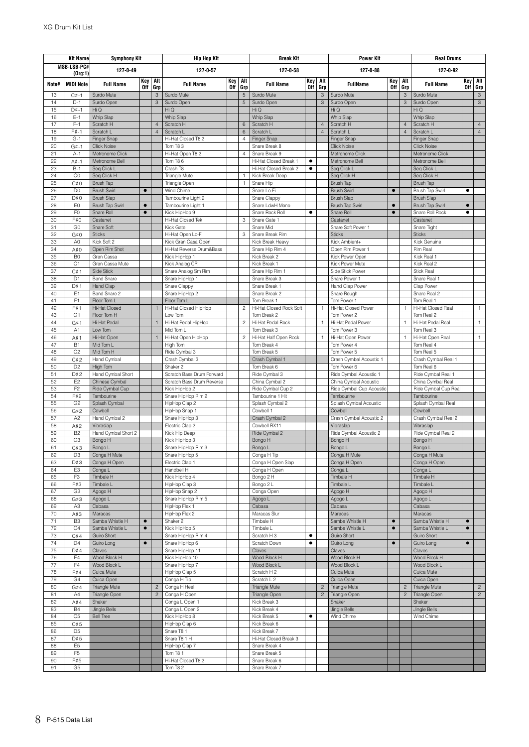|              | <b>Kit Name</b>                  | <b>Symphony Kit</b>               |                        |                           | <b>Hip Hop Kit</b>                    |                   |                | <b>Break Kit</b>                               |                   |                | <b>Power Kit</b>                       |                        |                           | <b>Real Drums</b>                  |                   |                           |
|--------------|----------------------------------|-----------------------------------|------------------------|---------------------------|---------------------------------------|-------------------|----------------|------------------------------------------------|-------------------|----------------|----------------------------------------|------------------------|---------------------------|------------------------------------|-------------------|---------------------------|
|              | MSB-LSB-PC#<br>(0rg:1)           | 127-0-49                          |                        |                           | 127-0-57                              |                   |                | 127-0-58                                       |                   |                | 127-0-88                               |                        |                           | 127-0-92                           |                   |                           |
| Note#        | <b>MIDI Note</b>                 | <b>Full Name</b>                  | Key<br><b>Off</b>      | Alt<br>Grp                | <b>Full Name</b>                      | Key<br><b>Off</b> | Alt<br>Grp     | <b>Full Name</b>                               | Key<br><b>Off</b> | Alt<br>Gro     | <b>FullName</b>                        | Key<br><b>Off</b>      | Alt<br>Gro                | <b>Full Name</b>                   | Key<br><b>Off</b> | Alt<br>Grp                |
| 13           | $C#-1$                           | Surdo Mute                        |                        | $\ensuremath{\mathsf{3}}$ | Surdo Mute                            |                   | 5              | Surdo Mute                                     |                   | 3              | Surdo Mute                             |                        | $\ensuremath{\mathsf{3}}$ | Surdo Mute                         |                   | $\ensuremath{\mathsf{3}}$ |
| 14           | $D-1$                            | Surdo Open                        |                        | $\mathsf 3$               | Surdo Open                            |                   | $\overline{5}$ | Surdo Open                                     |                   | 3              | Surdo Open                             |                        | 3                         | Surdo Open                         |                   | $\ensuremath{\mathsf{3}}$ |
| 15           | $D#-1$                           | Hi Q                              |                        |                           | Hi Q                                  |                   |                | Hi Q                                           |                   |                | Hi Q                                   |                        |                           | Hi Q                               |                   |                           |
| 16<br>17     | $E-1$<br>$F-1$                   | <b>Whip Slap</b><br>Scratch H     |                        | $\overline{4}$            | <b>Whip Slap</b><br>Scratch H         |                   | $6\phantom{1}$ | Whip Slap<br>Scratch H                         |                   | $\overline{4}$ | <b>Whip Slap</b><br>Scratch H          |                        | $\overline{4}$            | <b>Whip Slap</b><br>Scratch H      |                   | $\overline{4}$            |
| 18           | $F# - 1$                         | Scratch L                         |                        | $\overline{4}$            | Scratch L                             |                   | 6              | Scratch L                                      |                   | $\overline{4}$ | Scratch L                              |                        | $\overline{4}$            | Scratch L                          |                   | $\overline{4}$            |
| 19           | $G-1$                            | Finger Snap                       |                        |                           | Hi-Hat Closed T8 2                    |                   | 4              | Finger Snap                                    |                   |                | Finger Snap                            |                        |                           | Finger Snap                        |                   |                           |
| 20           | $G#-1$                           | <b>Click Noise</b>                |                        |                           | Tom T83                               |                   |                | Snare Break 8                                  |                   |                | Click Noise                            |                        |                           | <b>Click Noise</b>                 |                   |                           |
| 21           | $A-1$                            | Metronome Click<br>Metronome Bell |                        |                           | Hi-Hat Open T8 2                      |                   | $\overline{4}$ | Snare Break 9                                  |                   |                | Metronome Click                        |                        |                           | Metronome Click                    |                   |                           |
| 22<br>23     | $A# - 1$<br>$B-1$                | Seg Click L                       |                        |                           | Tom T86<br>Crash T8                   |                   |                | Hi-Hat Closed Break 1<br>Hi-Hat Closed Break 2 | ٠<br>٠            |                | Metronome Bell<br>Seg Click L          |                        |                           | Metronome Bell<br>Seg Click L      |                   |                           |
| 24           | C <sub>0</sub>                   | Seq Click H                       |                        |                           | Triangle Mute                         |                   | $\overline{1}$ | Kick Break Deep                                |                   |                | Seq Click H                            |                        |                           | Seq Click H                        |                   |                           |
| 25           | C#0                              | <b>Brush Tap</b>                  |                        |                           | Triangle Open                         |                   | $\mathbf{1}$   | Snare Hip                                      |                   |                | Brush Tap                              |                        |                           | Brush Tap                          |                   |                           |
| 26           | D <sub>0</sub>                   | <b>Brush Swirl</b>                | $\bullet$              |                           | Wind Chime                            |                   |                | Snare Lo-Fi                                    |                   |                | <b>Brush Swirl</b>                     | $\bullet$              |                           | Brush Tap Swirl                    | ٠                 |                           |
| 27           | D#0                              | <b>Brush Slap</b>                 |                        |                           | Tambourine Light 2                    |                   |                | Snare Clappy                                   |                   |                | <b>Brush Slap</b>                      |                        |                           | <b>Brush Slap</b>                  |                   |                           |
| 28<br>29     | E0<br>F <sub>0</sub>             | Brush Tap Swirl<br>Snare Roll     | $\bullet$<br>$\bullet$ |                           | Tambourine Light 1<br>Kick HipHop 9   |                   |                | Snare LdwH Mono<br>Snare Rock Roll             | ٠                 |                | Brush Tap Swirl<br>Snare Roll          | $\bullet$<br>$\bullet$ |                           | Brush Tap Swirl<br>Snare Roll Rock | $\bullet$<br>٠    |                           |
| 30           | F#0                              | Castanet                          |                        |                           | Hi-Hat Closed Tek                     |                   | 3              | Snare Gate 1                                   |                   |                | Castanet                               |                        |                           | Castanet                           |                   |                           |
| 31           | G <sub>0</sub>                   | Snare Soft                        |                        |                           | Kick Gate                             |                   |                | Snare Mid                                      |                   |                | Snare Soft Power 1                     |                        |                           | Snare Tight                        |                   |                           |
| 32           | G#0                              | <b>Sticks</b>                     |                        |                           | Hi-Hat Open Lo-Fi                     |                   | 3              | Snare Break Rim                                |                   |                | <b>Sticks</b>                          |                        |                           | <b>Sticks</b>                      |                   |                           |
| 33           | A <sub>0</sub>                   | Kick Soft 2                       |                        |                           | Kick Gran Casa Open                   |                   |                | Kick Break Heavy                               |                   |                | Kick Ambient+                          |                        |                           | Kick Genuine                       |                   |                           |
| 34           | A#0                              | Open Rim Shot                     |                        |                           | Hi-Hat Reverse Drum&Bass              |                   |                | Snare Hip Rim 4<br>Kick Break 2                |                   |                | Open Rim Power 1                       |                        |                           | Rim Real<br>Kick Real 1            |                   |                           |
| 35<br>36     | B <sub>0</sub><br>C <sub>1</sub> | Gran Cassa<br>Gran Cassa Mute     |                        |                           | Kick HipHop 1<br>Kick Analog CR       |                   |                | Kick Break 1                                   |                   |                | Kick Power Open<br>Kick Power Mute     |                        |                           | Kick Real 2                        |                   |                           |
| 37           | C#1                              | Side Stick                        |                        |                           | Snare Analog Sm Rim                   |                   |                | Snare Hip Rim 1                                |                   |                | Side Stick Power                       |                        |                           | <b>Stick Real</b>                  |                   |                           |
| 38           | D <sub>1</sub>                   | <b>Band Snare</b>                 |                        |                           | Snare HipHop 1                        |                   |                | Snare Break 3                                  |                   |                | Snare Power 1                          |                        |                           | Snare Real 1                       |                   |                           |
| 39           | D#1                              | Hand Clap                         |                        |                           | Snare Clappy                          |                   |                | Snare Break 1                                  |                   |                | Hand Clap Power                        |                        |                           | Clap Power                         |                   |                           |
| 40           | E <sub>1</sub>                   | Band Snare 2                      |                        |                           | Snare HipHop 2                        |                   |                | Snare Break 2                                  |                   |                | Snare Rough                            |                        |                           | Snare Real 2                       |                   |                           |
| 41           | F <sub>1</sub>                   | Floor Tom L                       |                        |                           | Floor Tom L                           |                   |                | Tom Break 1                                    |                   |                | Tom Power 1                            |                        |                           | Tom Real 1                         |                   |                           |
| 42<br>43     | F#1<br>G1                        | Hi-Hat Closed<br>Floor Tom H      |                        | $\mathbf{1}$              | Hi-Hat Closed HipHop<br>Low Tom       |                   | $\overline{c}$ | Hi-Hat Closed Rock Soft<br>Tom Break 2         |                   | $\mathbf{1}$   | Hi-Hat Closed Power<br>Tom Power 2     |                        | 1                         | Hi-Hat Closed Real<br>Tom Real 2   |                   | $\mathbf{1}$              |
| 44           | G#1                              | Hi-Hat Pedal                      |                        | $\mathbf{1}$              | Hi-Hat Pedal HipHop                   |                   | $\overline{c}$ | Hi-Hat Pedal Rock                              |                   | $\mathbf{1}$   | Hi-Hat Pedal Power                     |                        | 1                         | Hi-Hat Pedal Real                  |                   | $\mathbf{1}$              |
| 45           | A1                               | Low Tom                           |                        |                           | Mid Tom L                             |                   |                | Tom Break 3                                    |                   |                | Tom Power 3                            |                        |                           | Tom Real 3                         |                   |                           |
| 46           | A#1                              | Hi-Hat Open                       |                        | $\mathbf{1}$              | Hi-Hat Open HipHop                    |                   | $\overline{c}$ | Hi-Hat Half Open Rock                          |                   | 1              | Hi-Hat Open Power                      |                        | 1                         | Hi-Hat Open Real                   |                   | $\mathbf{1}$              |
| 47           | <b>B1</b>                        | Mid Tom L                         |                        |                           | High Tom                              |                   |                | Tom Break 4                                    |                   |                | Tom Power 4                            |                        |                           | Tom Real 4                         |                   |                           |
| 48           | C <sub>2</sub>                   | Mid Tom H                         |                        |                           | Ride Cymbal 3                         |                   |                | Tom Break 5                                    |                   |                | Tom Power 5                            |                        |                           | Tom Real 5                         |                   |                           |
| 49<br>50     | C#2<br>D <sub>2</sub>            | Hand Cymbal<br>High Tom           |                        |                           | Crash Cymbal 3<br>Shaker <sub>2</sub> |                   |                | Crash Cymbal 1<br>Tom Break 6                  |                   |                | Crash Cymbal Acoustic 1<br>Tom Power 6 |                        |                           | Crash Cymbal Real 1<br>Tom Real 6  |                   |                           |
| 51           | D#2                              | Hand Cymbal Short                 |                        |                           | Scratch Bass Drum Forward             |                   |                | Ride Cymbal 3                                  |                   |                | Ride Cymbal Acoustic 1                 |                        |                           | Ride Cymbal Real 1                 |                   |                           |
| 52           | E <sub>2</sub>                   | Chinese Cymbal                    |                        |                           | Scratch Bass Drum Reverse             |                   |                | China Cymbal 2                                 |                   |                | China Cymbal Acoustic                  |                        |                           | China Cymbal Real                  |                   |                           |
| 53           | F <sub>2</sub>                   | Ride Cymbal Cup                   |                        |                           | Kick HipHop 2                         |                   |                | Ride Cymbal Cup 2                              |                   |                | Ride Cymbal Cup Acoustic               |                        |                           | Ride Cymbal Cup Real               |                   |                           |
| 54           | F#2                              | Tambourine                        |                        |                           | Snare HipHop Rim 2                    |                   |                | Tambourine 1 Hit                               |                   |                | Tambourine                             |                        |                           | Tambourine                         |                   |                           |
| 55<br>56     | G <sub>2</sub>                   | Splash Cymbal                     |                        |                           | HipHop Clap 2                         |                   |                | Splash Cymbal 2<br>Cowbell 1                   |                   |                | Splash Cymbal Acoustic<br>Cowbell      |                        |                           | Splash Cymbal Real<br>Cowbell      |                   |                           |
| 57           | G#2<br>A <sub>2</sub>            | Cowbell<br>Hand Cymbal 2          |                        |                           | HipHop Snap 1<br>Snare HipHop 3       |                   |                | Crash Cymbal 2                                 |                   |                | Crash Cymbal Acoustic 2                |                        |                           | Crash Cymbal Real 2                |                   |                           |
| 58           | A#2                              | Vibraslap                         |                        |                           | Electric Clap 2                       |                   |                | Cowbell RX11                                   |                   |                | Vibraslap                              |                        |                           | Vibraslap                          |                   |                           |
| 59           | B <sub>2</sub>                   | Hand Cymbal Short 2               |                        |                           | Kick Hip Deep                         |                   |                | Ride Cymbal 2                                  |                   |                | Ride Cymbal Acoustic 2                 |                        |                           | Ride Cymbal Real 2                 |                   |                           |
| 60           | C <sub>3</sub>                   | Bongo H                           |                        |                           | Kick HipHop 3                         |                   |                | Bongo H                                        |                   |                | Bongo H                                |                        |                           | Bongo H                            |                   |                           |
| 61           | C#3                              | Bongo L                           |                        |                           | Snare HipHop Rim 3                    |                   |                | Bongo L<br>Conga H Tip                         |                   |                | Bongo L                                |                        |                           | Bongo L                            |                   |                           |
| 62<br>63     | D <sub>3</sub><br>D#3            | Conga H Mute<br>Conga H Open      |                        |                           | Snare HipHop 5<br>Electric Clap 1     |                   |                | Conga H Open Slap                              |                   |                | Conga H Mute<br>Conga H Open           |                        |                           | Conga H Mute<br>Conga H Open       |                   |                           |
| 64           | E3                               | Conga L                           |                        |                           | Handbell H                            |                   |                | Conga H Open                                   |                   |                | Conga l                                |                        |                           | Conga L                            |                   |                           |
| 65           | F <sub>3</sub>                   | Timbale H                         |                        |                           | Kick HipHop 4                         |                   |                | Bongo 2 H                                      |                   |                | Timbale H                              |                        |                           | Timbale H                          |                   |                           |
| 66           | F#3                              | Timbale L                         |                        |                           | HipHop Clap 3                         |                   |                | Bongo 2 L                                      |                   |                | Timbale L                              |                        |                           | Timbale L                          |                   |                           |
| 67           | G <sub>3</sub>                   | Agogo H                           |                        |                           | HipHop Snap 2                         |                   |                | Conga Open                                     |                   |                | Agogo H                                |                        |                           | Agogo H                            |                   |                           |
| 68<br>69     | G#3<br>A3                        | Agogo L<br>Cabasa                 |                        |                           | Snare HipHop Rim 5<br>HipHop Flex 1   |                   |                | Agogo L<br>Cabasa                              |                   |                | Agogo L<br>Cabasa                      |                        |                           | Agogo L<br>Cabasa                  |                   |                           |
| 70           | A#3                              | Maracas                           |                        |                           | HipHop Flex 2                         |                   |                | Maracas Slur                                   |                   |                | Maracas                                |                        |                           | Maracas                            |                   |                           |
| 71           | B <sub>3</sub>                   | Samba Whistle H                   | $\bullet$              |                           | Shaker 2                              |                   |                | Timbale H                                      |                   |                | Samba Whistle H                        | $\bullet$              |                           | Samba Whistle H                    | $\bullet$         |                           |
| 72           | C4                               | Samba Whistle L                   | $\bullet$              |                           | Kick HipHop 5                         |                   |                | Timbale L                                      |                   |                | Samba Whistle L                        | $\bullet$              |                           | Samba Whistle L                    | $\bullet$         |                           |
| 73           | C#4                              | Guiro Short                       |                        |                           | Snare HipHop Rim 4                    |                   |                | Scratch H 3                                    | $\bullet$         |                | Guiro Short                            |                        |                           | Guiro Short                        |                   |                           |
| 74<br>$75\,$ | D <sub>4</sub><br>D#4            | Guiro Long<br>Claves              | $\bullet$              |                           | Snare HipHop 6<br>Snare HipHop 11     |                   |                | Scratch Down<br>Claves                         | $\bullet$         |                | Guiro Long<br>Claves                   | $\bullet$              |                           | Guiro Long<br>Claves               | $\bullet$         |                           |
| 76           | E4                               | Wood Block H                      |                        |                           | Kick HipHop 10                        |                   |                | Wood Block H                                   |                   |                | Wood Block H                           |                        |                           | Wood Block H                       |                   |                           |
| 77           | F4                               | Wood Block L                      |                        |                           | Snare HipHop 7                        |                   |                | Wood Block L                                   |                   |                | Wood Block L                           |                        |                           | Wood Block L                       |                   |                           |
| 78           | F#4                              | Cuica Mute                        |                        |                           | HipHop Clap 5                         |                   |                | Scratch H 2                                    |                   |                | Cuica Mute                             |                        |                           | Cuica Mute                         |                   |                           |
| 79           | G4                               | Cuica Open                        |                        |                           | Conga H Tip                           |                   |                | Scratch L 2                                    |                   |                | Cuica Open                             |                        |                           | Cuica Open                         |                   |                           |
| 80           | G#4                              | <b>Triangle Mute</b>              |                        | $\sqrt{2}$                | Conga H Heel                          |                   |                | <b>Triangle Mute</b>                           |                   | $\overline{c}$ | <b>Triangle Mute</b>                   |                        | $\overline{c}$            | <b>Triangle Mute</b>               |                   | $\overline{c}$            |
| 81<br>82     | A4<br>A#4                        | Triangle Open<br>Shaker           |                        | $\overline{c}$            | Conga H Open<br>Conga L Open 1        |                   |                | Triangle Open<br>Kick Break 3                  |                   | $\overline{c}$ | Triangle Open<br>Shaker                |                        | $\overline{c}$            | Triangle Open<br>Shaker            |                   | $\overline{2}$            |
| 83           | <b>B4</b>                        | Jingle Bells                      |                        |                           | Conga L Open 2                        |                   |                | Kick Break 4                                   |                   |                | Jingle Bells                           |                        |                           | Jingle Bells                       |                   |                           |
| 84           | C <sub>5</sub>                   | <b>Bell Tree</b>                  |                        |                           | Kick HipHop 8                         |                   |                | Kick Break 5                                   | ٠                 |                | Wind Chime                             |                        |                           | Wind Chime                         |                   |                           |
| 85           | C#5                              |                                   |                        |                           | HipHop Clap 6                         |                   |                | Kick Break 6                                   |                   |                |                                        |                        |                           |                                    |                   |                           |
| 86           | D <sub>5</sub>                   |                                   |                        |                           | Snare T8 1                            |                   |                | Kick Break 7                                   |                   |                |                                        |                        |                           |                                    |                   |                           |
| 87<br>88     | D#5<br>E <sub>5</sub>            |                                   |                        |                           | Snare T8 1 H<br>HipHop Clap 7         |                   |                | Hi-Hat Closed Break 3<br>Snare Break 4         |                   |                |                                        |                        |                           |                                    |                   |                           |
| 89           | F <sub>5</sub>                   |                                   |                        |                           | Tom T8 1                              |                   |                | Snare Break 5                                  |                   |                |                                        |                        |                           |                                    |                   |                           |
| 90           | F#5                              |                                   |                        |                           | Hi-Hat Closed T8 2                    |                   |                | Snare Break 6                                  |                   |                |                                        |                        |                           |                                    |                   |                           |
| 91           | G <sub>5</sub>                   |                                   |                        |                           | Tom T8 2                              |                   |                | Snare Break 7                                  |                   |                |                                        |                        |                           |                                    |                   |                           |